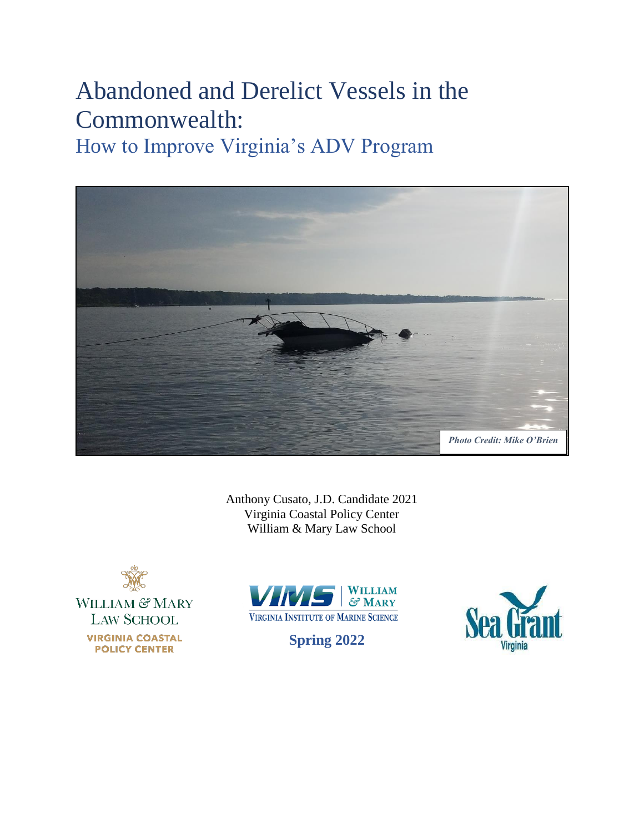# Abandoned and Derelict Vessels in the Commonwealth:

How to Improve Virginia's ADV Program



Anthony Cusato, J.D. Candidate 2021 Virginia Coastal Policy Center William & Mary Law School





**Spring 2022**

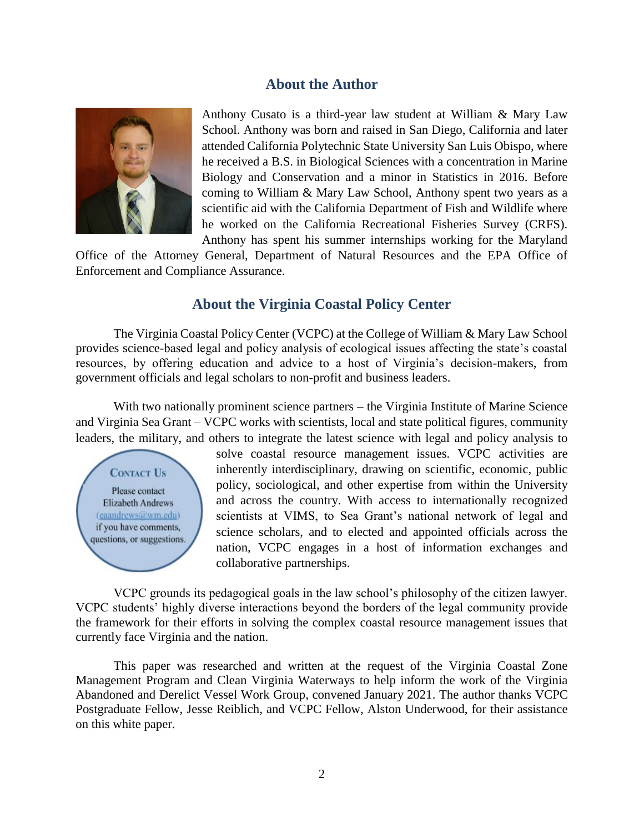## **About the Author**



Anthony Cusato is a third-year law student at William & Mary Law School. Anthony was born and raised in San Diego, California and later attended California Polytechnic State University San Luis Obispo, where he received a B.S. in Biological Sciences with a concentration in Marine Biology and Conservation and a minor in Statistics in 2016. Before coming to William & Mary Law School, Anthony spent two years as a scientific aid with the California Department of Fish and Wildlife where he worked on the California Recreational Fisheries Survey (CRFS). Anthony has spent his summer internships working for the Maryland

Office of the Attorney General, Department of Natural Resources and the EPA Office of Enforcement and Compliance Assurance.

## **About the Virginia Coastal Policy Center**

The Virginia Coastal Policy Center (VCPC) at the College of William & Mary Law School provides science-based legal and policy analysis of ecological issues affecting the state's coastal resources, by offering education and advice to a host of Virginia's decision-makers, from government officials and legal scholars to non-profit and business leaders.

With two nationally prominent science partners – the Virginia Institute of Marine Science and Virginia Sea Grant – VCPC works with scientists, local and state political figures, community leaders, the military, and others to integrate the latest science with legal and policy analysis to

**CONTACT US** Please contact **Elizabeth Andrews** (eaandrews@wm.edu) if you have comments, questions, or suggestions. solve coastal resource management issues. VCPC activities are inherently interdisciplinary, drawing on scientific, economic, public policy, sociological, and other expertise from within the University and across the country. With access to internationally recognized scientists at VIMS, to Sea Grant's national network of legal and science scholars, and to elected and appointed officials across the nation, VCPC engages in a host of information exchanges and collaborative partnerships.

VCPC grounds its pedagogical goals in the law school's philosophy of the citizen lawyer. VCPC students' highly diverse interactions beyond the borders of the legal community provide the framework for their efforts in solving the complex coastal resource management issues that currently face Virginia and the nation.

This paper was researched and written at the request of the Virginia Coastal Zone Management Program and Clean Virginia Waterways to help inform the work of the Virginia Abandoned and Derelict Vessel Work Group, convened January 2021. The author thanks VCPC Postgraduate Fellow, Jesse Reiblich, and VCPC Fellow, Alston Underwood, for their assistance on this white paper.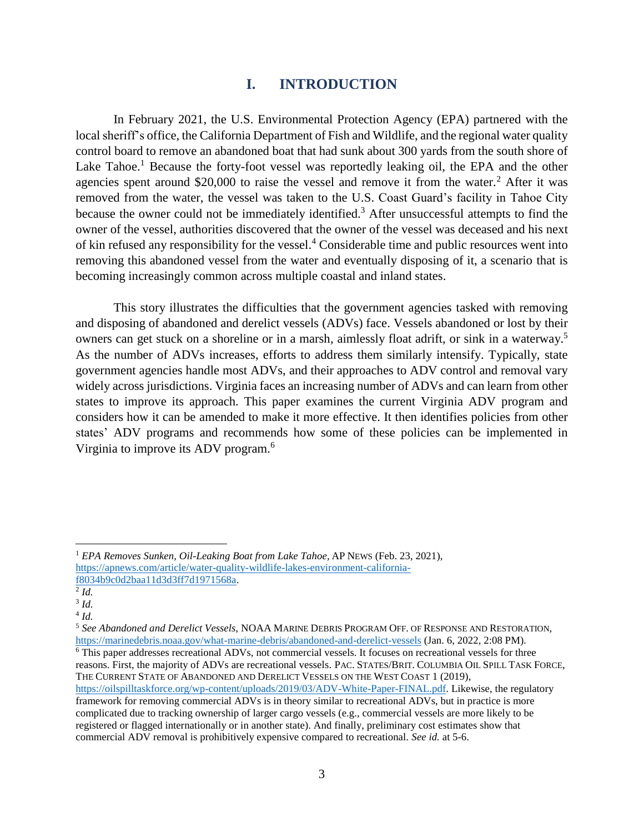# **I. INTRODUCTION**

In February 2021, the U.S. Environmental Protection Agency (EPA) partnered with the local sheriff's office, the California Department of Fish and Wildlife, and the regional water quality control board to remove an abandoned boat that had sunk about 300 yards from the south shore of Lake Tahoe.<sup>1</sup> Because the forty-foot vessel was reportedly leaking oil, the EPA and the other agencies spent around \$20,000 to raise the vessel and remove it from the water.<sup>2</sup> After it was removed from the water, the vessel was taken to the U.S. Coast Guard's facility in Tahoe City because the owner could not be immediately identified.<sup>3</sup> After unsuccessful attempts to find the owner of the vessel, authorities discovered that the owner of the vessel was deceased and his next of kin refused any responsibility for the vessel.<sup>4</sup> Considerable time and public resources went into removing this abandoned vessel from the water and eventually disposing of it, a scenario that is becoming increasingly common across multiple coastal and inland states.

This story illustrates the difficulties that the government agencies tasked with removing and disposing of abandoned and derelict vessels (ADVs) face. Vessels abandoned or lost by their owners can get stuck on a shoreline or in a marsh, aimlessly float adrift, or sink in a waterway. 5 As the number of ADVs increases, efforts to address them similarly intensify. Typically, state government agencies handle most ADVs, and their approaches to ADV control and removal vary widely across jurisdictions. Virginia faces an increasing number of ADVs and can learn from other states to improve its approach. This paper examines the current Virginia ADV program and considers how it can be amended to make it more effective. It then identifies policies from other states' ADV programs and recommends how some of these policies can be implemented in Virginia to improve its ADV program.<sup>6</sup>

<span id="page-2-0"></span><sup>1</sup> *EPA Removes Sunken, Oil-Leaking Boat from Lake Tahoe,* AP NEWS (Feb. 23, 2021), [https://apnews.com/article/water-quality-wildlife-lakes-environment-california](https://apnews.com/article/water-quality-wildlife-lakes-environment-california-f8034b9c0d2baa11d3d3ff7d1971568a)[f8034b9c0d2baa11d3d3ff7d1971568a.](https://apnews.com/article/water-quality-wildlife-lakes-environment-california-f8034b9c0d2baa11d3d3ff7d1971568a)

<sup>2</sup> *Id.*

<sup>3</sup> *Id.*

<sup>4</sup> *Id.*

<sup>5</sup> *See Abandoned and Derelict Vessels,* NOAA MARINE DEBRIS PROGRAM OFF. OF RESPONSE AND RESTORATION, <https://marinedebris.noaa.gov/what-marine-debris/abandoned-and-derelict-vessels> (Jan. 6, 2022, 2:08 PM).

<sup>6</sup> This paper addresses recreational ADVs, not commercial vessels. It focuses on recreational vessels for three reasons. First, the majority of ADVs are recreational vessels. PAC. STATES/BRIT. COLUMBIA OIL SPILL TASK FORCE, THE CURRENT STATE OF ABANDONED AND DERELICT VESSELS ON THE WEST COAST 1 (2019), [https://oilspilltaskforce.org/wp-content/uploads/2019/03/ADV-White-Paper-FINAL.pdf.](https://oilspilltaskforce.org/wp-content/uploads/2019/03/ADV-White-Paper-FINAL.pdf) Likewise, the regulatory

framework for removing commercial ADVs is in theory similar to recreational ADVs, but in practice is more complicated due to tracking ownership of larger cargo vessels (e.g., commercial vessels are more likely to be registered or flagged internationally or in another state). And finally, preliminary cost estimates show that commercial ADV removal is prohibitively expensive compared to recreational. *See id.* at 5-6.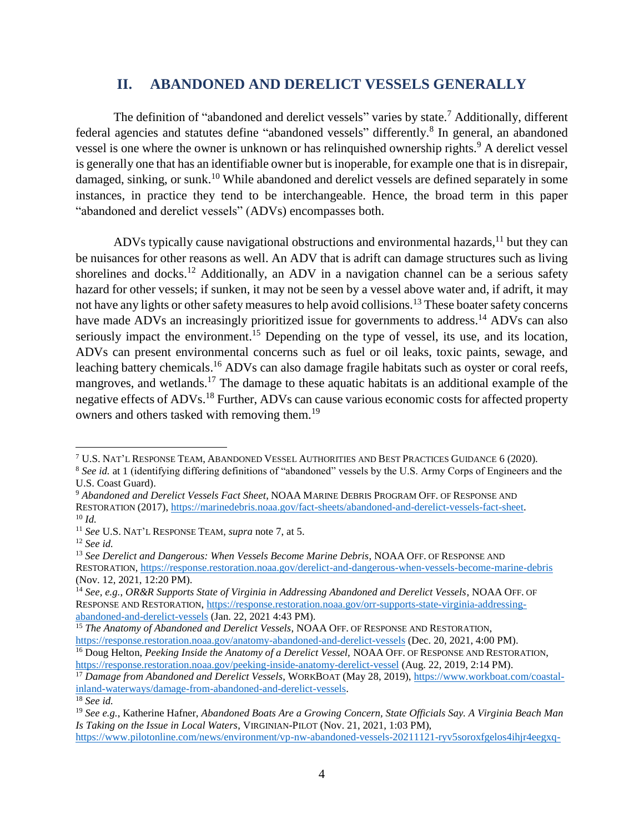# <span id="page-3-0"></span>**II. ABANDONED AND DERELICT VESSELS GENERALLY**

The definition of "abandoned and derelict vessels" varies by state.<sup>7</sup> Additionally, different federal agencies and statutes define "abandoned vessels" differently.<sup>8</sup> In general, an abandoned vessel is one where the owner is unknown or has relinquished ownership rights.<sup>9</sup> A derelict vessel is generally one that has an identifiable owner but is inoperable, for example one that is in disrepair, damaged, sinking, or sunk.<sup>10</sup> While abandoned and derelict vessels are defined separately in some instances, in practice they tend to be interchangeable. Hence, the broad term in this paper "abandoned and derelict vessels" (ADVs) encompasses both.

ADVs typically cause navigational obstructions and environmental hazards,<sup>11</sup> but they can be nuisances for other reasons as well. An ADV that is adrift can damage structures such as living shorelines and docks.<sup>12</sup> Additionally, an ADV in a navigation channel can be a serious safety hazard for other vessels; if sunken, it may not be seen by a vessel above water and, if adrift, it may not have any lights or other safety measures to help avoid collisions.<sup>13</sup> These boater safety concerns have made ADVs an increasingly prioritized issue for governments to address.<sup>14</sup> ADVs can also seriously impact the environment.<sup>15</sup> Depending on the type of vessel, its use, and its location, ADVs can present environmental concerns such as fuel or oil leaks, toxic paints, sewage, and leaching battery chemicals.<sup>16</sup> ADVs can also damage fragile habitats such as oyster or coral reefs, mangroves, and wetlands.<sup>17</sup> The damage to these aquatic habitats is an additional example of the negative effects of ADVs.<sup>18</sup> Further, ADVs can cause various economic costs for affected property owners and others tasked with removing them.<sup>19</sup>

<span id="page-3-1"></span> $\overline{\phantom{a}}$ 

<sup>18</sup> *See id.*

<sup>7</sup> U.S. NAT'L RESPONSE TEAM, ABANDONED VESSEL AUTHORITIES AND BEST PRACTICES GUIDANCE 6 (2020).

<sup>&</sup>lt;sup>8</sup> See id. at 1 (identifying differing definitions of "abandoned" vessels by the U.S. Army Corps of Engineers and the U.S. Coast Guard).

<sup>9</sup> *Abandoned and Derelict Vessels Fact Sheet*, NOAA MARINE DEBRIS PROGRAM OFF. OF RESPONSE AND RESTORATION (2017)[, https://marinedebris.noaa.gov/fact-sheets/abandoned-and-derelict-vessels-fact-sheet.](https://marinedebris.noaa.gov/fact-sheets/abandoned-and-derelict-vessels-fact-sheet) <sup>10</sup> *Id.*

<sup>11</sup> *See* U.S. NAT'L RESPONSE TEAM, *supra* note [7,](#page-3-0) at 5.

<sup>12</sup> *See id.*

<sup>&</sup>lt;sup>13</sup> See Derelict and Dangerous: When Vessels Become Marine Debris, NOAA OFF. OF RESPONSE AND RESTORATION, <https://response.restoration.noaa.gov/derelict-and-dangerous-when-vessels-become-marine-debris> (Nov. 12, 2021, 12:20 PM).

<sup>14</sup> *See, e.g.*, *OR&R Supports State of Virginia in Addressing Abandoned and Derelict Vessels*, NOAA OFF. OF RESPONSE AND RESTORATION, [https://response.restoration.noaa.gov/orr-supports-state-virginia-addressing](https://response.restoration.noaa.gov/orr-supports-state-virginia-addressing-abandoned-and-derelict-vessels)[abandoned-and-derelict-vessels](https://response.restoration.noaa.gov/orr-supports-state-virginia-addressing-abandoned-and-derelict-vessels) (Jan. 22, 2021 4:43 PM).

<sup>15</sup> *The Anatomy of Abandoned and Derelict Vessels*, NOAA OFF. OF RESPONSE AND RESTORATION, <https://response.restoration.noaa.gov/anatomy-abandoned-and-derelict-vessels> (Dec. 20, 2021, 4:00 PM).

<sup>&</sup>lt;sup>16</sup> Doug Helton, *Peeking Inside the Anatomy of a Derelict Vessel*, NOAA OFF. OF RESPONSE AND RESTORATION, <https://response.restoration.noaa.gov/peeking-inside-anatomy-derelict-vessel> (Aug. 22, 2019, 2:14 PM).

<sup>17</sup> *Damage from Abandoned and Derelict Vessels*, WORKBOAT (May 28, 2019)[, https://www.workboat.com/coastal](https://www.workboat.com/coastal-inland-waterways/damage-from-abandoned-and-derelict-vessels)[inland-waterways/damage-from-abandoned-and-derelict-vessels.](https://www.workboat.com/coastal-inland-waterways/damage-from-abandoned-and-derelict-vessels)

<sup>19</sup> *See e.g.*, Katherine Hafner, *Abandoned Boats Are a Growing Concern, State Officials Say. A Virginia Beach Man Is Taking on the Issue in Local Waters*, VIRGINIAN-PILOT (Nov. 21, 2021, 1:03 PM),

[https://www.pilotonline.com/news/environment/vp-nw-abandoned-vessels-20211121-ryv5soroxfgelos4ihjr4eegxq-](https://www.pilotonline.com/news/environment/vp-nw-abandoned-vessels-20211121-ryv5soroxfgelos4ihjr4eegxq-story.html)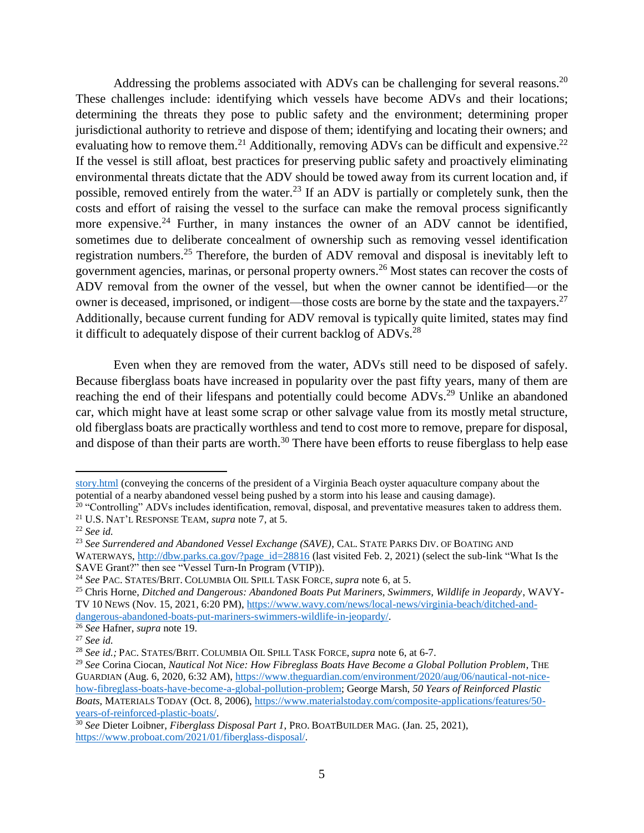Addressing the problems associated with ADVs can be challenging for several reasons.<sup>20</sup> These challenges include: identifying which vessels have become ADVs and their locations; determining the threats they pose to public safety and the environment; determining proper jurisdictional authority to retrieve and dispose of them; identifying and locating their owners; and evaluating how to remove them.<sup>21</sup> Additionally, removing ADVs can be difficult and expensive.<sup>22</sup> If the vessel is still afloat, best practices for preserving public safety and proactively eliminating environmental threats dictate that the ADV should be towed away from its current location and, if possible, removed entirely from the water.<sup>23</sup> If an ADV is partially or completely sunk, then the costs and effort of raising the vessel to the surface can make the removal process significantly more expensive.<sup>24</sup> Further, in many instances the owner of an ADV cannot be identified, sometimes due to deliberate concealment of ownership such as removing vessel identification registration numbers.<sup>25</sup> Therefore, the burden of ADV removal and disposal is inevitably left to government agencies, marinas, or personal property owners.<sup>26</sup> Most states can recover the costs of ADV removal from the owner of the vessel, but when the owner cannot be identified—or the owner is deceased, imprisoned, or indigent—those costs are borne by the state and the taxpayers.<sup>27</sup> Additionally, because current funding for ADV removal is typically quite limited, states may find it difficult to adequately dispose of their current backlog of ADVs.<sup>28</sup>

Even when they are removed from the water, ADVs still need to be disposed of safely. Because fiberglass boats have increased in popularity over the past fifty years, many of them are reaching the end of their lifespans and potentially could become ADVs.<sup>29</sup> Unlike an abandoned car, which might have at least some scrap or other salvage value from its mostly metal structure, old fiberglass boats are practically worthless and tend to cost more to remove, prepare for disposal, and dispose of than their parts are worth.<sup>30</sup> There have been efforts to reuse fiberglass to help ease

[story.html](https://www.pilotonline.com/news/environment/vp-nw-abandoned-vessels-20211121-ryv5soroxfgelos4ihjr4eegxq-story.html) (conveying the concerns of the president of a Virginia Beach oyster aquaculture company about the potential of a nearby abandoned vessel being pushed by a storm into his lease and causing damage).

 $20$  "Controlling" ADVs includes identification, removal, disposal, and preventative measures taken to address them. <sup>21</sup> U.S. NAT'L RESPONSE TEAM, *supra* note [7,](#page-3-0) at 5.

<sup>22</sup> *See id.*

<sup>23</sup> *See Surrendered and Abandoned Vessel Exchange (SAVE)*, CAL. STATE PARKS DIV. OF BOATING AND

WATERWAYS, [http://dbw.parks.ca.gov/?page\\_id=28816](http://dbw.parks.ca.gov/?page_id=28816) (last visited Feb. 2, 2021) (select the sub-link "What Is the SAVE Grant?" then see "Vessel Turn-In Program (VTIP)).

<sup>24</sup> *See* PAC. STATES/BRIT. COLUMBIA OIL SPILL TASK FORCE, *supra* not[e 6,](#page-2-0) at 5.

<sup>25</sup> Chris Horne, *Ditched and Dangerous: Abandoned Boats Put Mariners, Swimmers, Wildlife in Jeopardy*, WAVY-TV 10 NEWS (Nov. 15, 2021, 6:20 PM)[, https://www.wavy.com/news/local-news/virginia-beach/ditched-and](https://www.wavy.com/news/local-news/virginia-beach/ditched-and-dangerous-abandoned-boats-put-mariners-swimmers-wildlife-in-jeopardy/)[dangerous-abandoned-boats-put-mariners-swimmers-wildlife-in-jeopardy/.](https://www.wavy.com/news/local-news/virginia-beach/ditched-and-dangerous-abandoned-boats-put-mariners-swimmers-wildlife-in-jeopardy/)

<sup>26</sup> *See* Hafner, *supra* note [19.](#page-3-1)

<sup>27</sup> *See id.*

<sup>28</sup> *See id.;* PAC. STATES/BRIT. COLUMBIA OIL SPILL TASK FORCE, *supra* note [6,](#page-2-0) at 6-7.

<sup>29</sup> *See* Corina Ciocan, *Nautical Not Nice: How Fibreglass Boats Have Become a Global Pollution Problem*, THE GUARDIAN (Aug. 6, 2020, 6:32 AM), [https://www.theguardian.com/environment/2020/aug/06/nautical-not-nice](https://www.theguardian.com/environment/2020/aug/06/nautical-not-nice-how-fibreglass-boats-have-become-a-global-pollution-problem)[how-fibreglass-boats-have-become-a-global-pollution-problem;](https://www.theguardian.com/environment/2020/aug/06/nautical-not-nice-how-fibreglass-boats-have-become-a-global-pollution-problem) George Marsh, *50 Years of Reinforced Plastic Boats*, MATERIALS TODAY (Oct. 8, 2006), [https://www.materialstoday.com/composite-applications/features/50](https://www.materialstoday.com/composite-applications/features/50-years-of-reinforced-plastic-boats/) [years-of-reinforced-plastic-boats/.](https://www.materialstoday.com/composite-applications/features/50-years-of-reinforced-plastic-boats/)

<sup>30</sup> *See* Dieter Loibner, *Fiberglass Disposal Part 1*, PRO. BOATBUILDER MAG. (Jan. 25, 2021), [https://www.proboat.com/2021/01/fiberglass-disposal/.](https://www.proboat.com/2021/01/fiberglass-disposal/)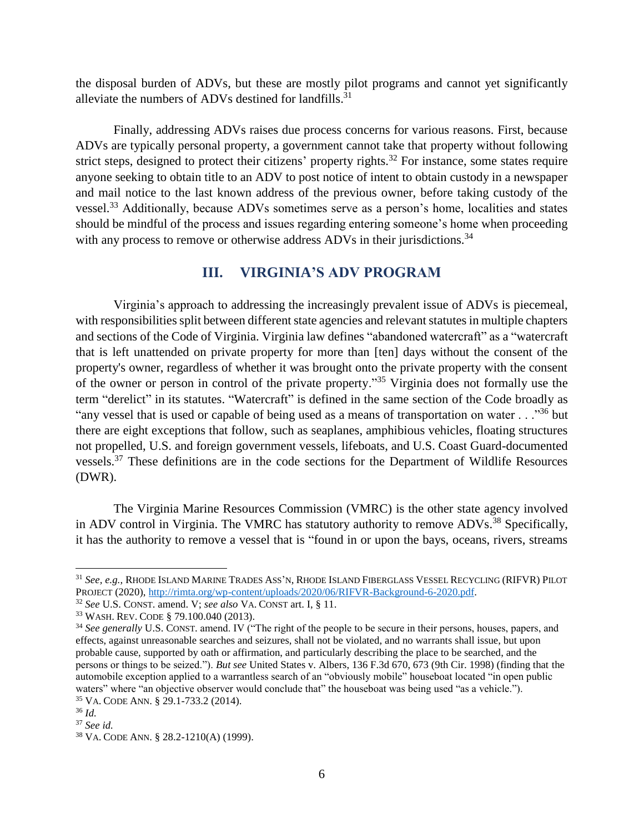the disposal burden of ADVs, but these are mostly pilot programs and cannot yet significantly alleviate the numbers of ADVs destined for landfills.<sup>31</sup>

Finally, addressing ADVs raises due process concerns for various reasons. First, because ADVs are typically personal property, a government cannot take that property without following strict steps, designed to protect their citizens' property rights.<sup>32</sup> For instance, some states require anyone seeking to obtain title to an ADV to post notice of intent to obtain custody in a newspaper and mail notice to the last known address of the previous owner, before taking custody of the vessel.<sup>33</sup> Additionally, because ADVs sometimes serve as a person's home, localities and states should be mindful of the process and issues regarding entering someone's home when proceeding with any process to remove or otherwise address ADVs in their jurisdictions.<sup>34</sup>

# **III. VIRGINIA'S ADV PROGRAM**

Virginia's approach to addressing the increasingly prevalent issue of ADVs is piecemeal, with responsibilities split between different state agencies and relevant statutes in multiple chapters and sections of the Code of Virginia. Virginia law defines "abandoned watercraft" as a "watercraft that is left unattended on private property for more than [ten] days without the consent of the property's owner, regardless of whether it was brought onto the private property with the consent of the owner or person in control of the private property."<sup>35</sup> Virginia does not formally use the term "derelict" in its statutes. "Watercraft" is defined in the same section of the Code broadly as "any vessel that is used or capable of being used as a means of transportation on water . . ."<sup>36</sup> but there are eight exceptions that follow, such as seaplanes, amphibious vehicles, floating structures not propelled, U.S. and foreign government vessels, lifeboats, and U.S. Coast Guard-documented vessels.<sup>37</sup> These definitions are in the code sections for the Department of Wildlife Resources (DWR).

The Virginia Marine Resources Commission (VMRC) is the other state agency involved in ADV control in Virginia. The VMRC has statutory authority to remove ADVs.<sup>38</sup> Specifically, it has the authority to remove a vessel that is "found in or upon the bays, oceans, rivers, streams

<sup>31</sup> *See, e.g.,* RHODE ISLAND MARINE TRADES ASS'N, RHODE ISLAND FIBERGLASS VESSEL RECYCLING (RIFVR) PILOT PROJECT (2020), [http://rimta.org/wp-content/uploads/2020/06/RIFVR-Background-6-2020.pdf.](http://rimta.org/wp-content/uploads/2020/06/RIFVR-Background-6-2020.pdf)

<sup>32</sup> *See* U.S. CONST. amend. V; *see also* VA. CONST art. I, § 11.

<sup>33</sup> WASH. REV. CODE § 79.100.040 (2013).

<sup>&</sup>lt;sup>34</sup> See generally U.S. CONST. amend. IV ("The right of the people to be secure in their persons, houses, papers, and effects, against unreasonable searches and seizures, shall not be violated, and no warrants shall issue, but upon probable cause, supported by oath or affirmation, and particularly describing the place to be searched, and the persons or things to be seized."). *But see* United States v. Albers, 136 F.3d 670, 673 (9th Cir. 1998) (finding that the automobile exception applied to a warrantless search of an "obviously mobile" houseboat located "in open public waters" where "an objective observer would conclude that" the houseboat was being used "as a vehicle."). <sup>35</sup> VA. CODE ANN. § 29.1-733.2 (2014).

<sup>36</sup> *Id.*

<sup>37</sup> *See id.* 

<sup>38</sup> VA. CODE ANN. § 28.2-1210(A) (1999).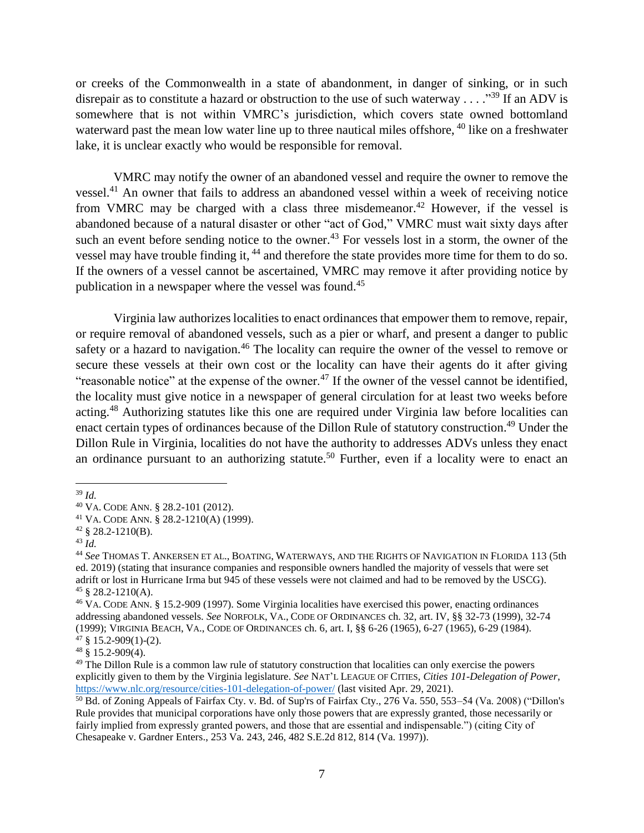or creeks of the Commonwealth in a state of abandonment, in danger of sinking, or in such disrepair as to constitute a hazard or obstruction to the use of such waterway . . . . "<sup>39</sup> If an ADV is somewhere that is not within VMRC's jurisdiction, which covers state owned bottomland waterward past the mean low water line up to three nautical miles offshore, <sup>40</sup> like on a freshwater lake, it is unclear exactly who would be responsible for removal.

VMRC may notify the owner of an abandoned vessel and require the owner to remove the vessel.<sup>41</sup> An owner that fails to address an abandoned vessel within a week of receiving notice from VMRC may be charged with a class three misdemeanor.<sup>42</sup> However, if the vessel is abandoned because of a natural disaster or other "act of God," VMRC must wait sixty days after such an event before sending notice to the owner.<sup>43</sup> For vessels lost in a storm, the owner of the vessel may have trouble finding it, <sup>44</sup> and therefore the state provides more time for them to do so. If the owners of a vessel cannot be ascertained, VMRC may remove it after providing notice by publication in a newspaper where the vessel was found.<sup>45</sup>

<span id="page-6-0"></span>Virginia law authorizes localities to enact ordinances that empower them to remove, repair, or require removal of abandoned vessels, such as a pier or wharf, and present a danger to public safety or a hazard to navigation.<sup>46</sup> The locality can require the owner of the vessel to remove or secure these vessels at their own cost or the locality can have their agents do it after giving "reasonable notice" at the expense of the owner.<sup>47</sup> If the owner of the vessel cannot be identified, the locality must give notice in a newspaper of general circulation for at least two weeks before acting.<sup>48</sup> Authorizing statutes like this one are required under Virginia law before localities can enact certain types of ordinances because of the Dillon Rule of statutory construction.<sup>49</sup> Under the Dillon Rule in Virginia, localities do not have the authority to addresses ADVs unless they enact an ordinance pursuant to an authorizing statute.<sup>50</sup> Further, even if a locality were to enact an

<sup>39</sup> *Id.*

<sup>40</sup> VA. CODE ANN. § 28.2-101 (2012).

<sup>41</sup> VA. CODE ANN. § 28.2-1210(A) (1999).

 $42 \text{ } \text{\& } 28.2 - 1210 \text{(B)}.$ 

<sup>43</sup> *Id.*

<sup>44</sup> *See* THOMAS T. ANKERSEN ET AL., BOATING, WATERWAYS, AND THE RIGHTS OF NAVIGATION IN FLORIDA 113 (5th ed. 2019) (stating that insurance companies and responsible owners handled the majority of vessels that were set adrift or lost in Hurricane Irma but 945 of these vessels were not claimed and had to be removed by the USCG).  $45 \& 28.2 - 1210(A)$ .

<sup>46</sup> VA. CODE ANN. § 15.2-909 (1997). Some Virginia localities have exercised this power, enacting ordinances addressing abandoned vessels. *See* NORFOLK, VA., CODE OF ORDINANCES ch. 32, art. IV, §§ 32-73 (1999), 32-74 (1999); VIRGINIA BEACH, VA., CODE OF ORDINANCES ch. 6, art. I, §§ 6-26 (1965), 6-27 (1965), 6-29 (1984).  $47 \S$  15.2-909(1)-(2).

 $48 \text{ }$ \$15.2-909(4).

<sup>&</sup>lt;sup>49</sup> The Dillon Rule is a common law rule of statutory construction that localities can only exercise the powers explicitly given to them by the Virginia legislature. *See* NAT'L LEAGUE OF CITIES, *Cities 101-Delegation of Power*, <https://www.nlc.org/resource/cities-101-delegation-of-power/> (last visited Apr. 29, 2021).

<sup>50</sup> Bd. of Zoning Appeals of Fairfax Cty. v. Bd. of Sup'rs of Fairfax Cty., 276 Va. 550, 553–54 (Va. 2008) ("Dillon's Rule provides that municipal corporations have only those powers that are expressly granted, those necessarily or fairly implied from expressly granted powers, and those that are essential and indispensable.") (citing City of Chesapeake v. Gardner Enters., 253 Va. 243, 246, 482 S.E.2d 812, 814 (Va. 1997)).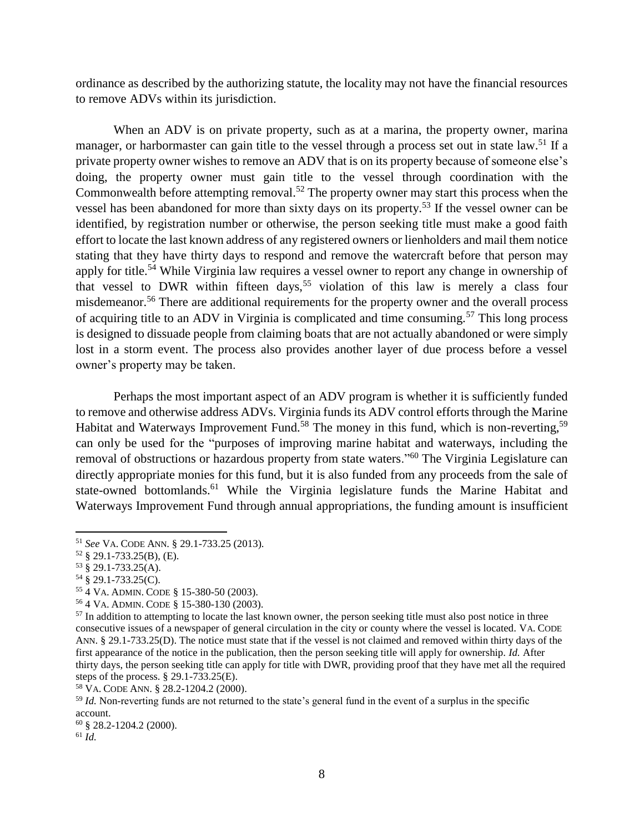ordinance as described by the authorizing statute, the locality may not have the financial resources to remove ADVs within its jurisdiction.

When an ADV is on private property, such as at a marina, the property owner, marina manager, or harbormaster can gain title to the vessel through a process set out in state law.<sup>51</sup> If a private property owner wishes to remove an ADV that is on its property because of someone else's doing, the property owner must gain title to the vessel through coordination with the Commonwealth before attempting removal.<sup>52</sup> The property owner may start this process when the vessel has been abandoned for more than sixty days on its property. <sup>53</sup> If the vessel owner can be identified, by registration number or otherwise, the person seeking title must make a good faith effort to locate the last known address of any registered owners or lienholders and mail them notice stating that they have thirty days to respond and remove the watercraft before that person may apply for title.<sup>54</sup> While Virginia law requires a vessel owner to report any change in ownership of that vessel to DWR within fifteen days,<sup>55</sup> violation of this law is merely a class four misdemeanor.<sup>56</sup> There are additional requirements for the property owner and the overall process of acquiring title to an ADV in Virginia is complicated and time consuming.<sup>57</sup> This long process is designed to dissuade people from claiming boats that are not actually abandoned or were simply lost in a storm event. The process also provides another layer of due process before a vessel owner's property may be taken.

Perhaps the most important aspect of an ADV program is whether it is sufficiently funded to remove and otherwise address ADVs. Virginia funds its ADV control efforts through the Marine Habitat and Waterways Improvement Fund.<sup>58</sup> The money in this fund, which is non-reverting,<sup>59</sup> can only be used for the "purposes of improving marine habitat and waterways, including the removal of obstructions or hazardous property from state waters."<sup>60</sup> The Virginia Legislature can directly appropriate monies for this fund, but it is also funded from any proceeds from the sale of state-owned bottomlands.<sup>61</sup> While the Virginia legislature funds the Marine Habitat and Waterways Improvement Fund through annual appropriations, the funding amount is insufficient

- <sup>55</sup> 4 VA. ADMIN. CODE § 15-380-50 (2003).
- <sup>56</sup> 4 VA. ADMIN. CODE § 15-380-130 (2003).

<sup>58</sup> VA. CODE ANN. § 28.2-1204.2 (2000).

<sup>59</sup> *Id.* Non-reverting funds are not returned to the state's general fund in the event of a surplus in the specific account.

l

<sup>51</sup> *See* VA. CODE ANN. § 29.1-733.25 (2013).

<sup>52</sup> § 29.1-733.25(B), (E).

<sup>53</sup> § 29.1-733.25(A).

 $54 \times 29.1 - 733.25(C)$ .

<sup>&</sup>lt;sup>57</sup> In addition to attempting to locate the last known owner, the person seeking title must also post notice in three consecutive issues of a newspaper of general circulation in the city or county where the vessel is located. VA. CODE ANN. § 29.1-733.25(D). The notice must state that if the vessel is not claimed and removed within thirty days of the first appearance of the notice in the publication, then the person seeking title will apply for ownership. *Id.* After thirty days, the person seeking title can apply for title with DWR, providing proof that they have met all the required steps of the process. § 29.1-733.25(E).

<sup>60</sup> § 28.2-1204.2 (2000).

 $61$   $\overline{Id}$ .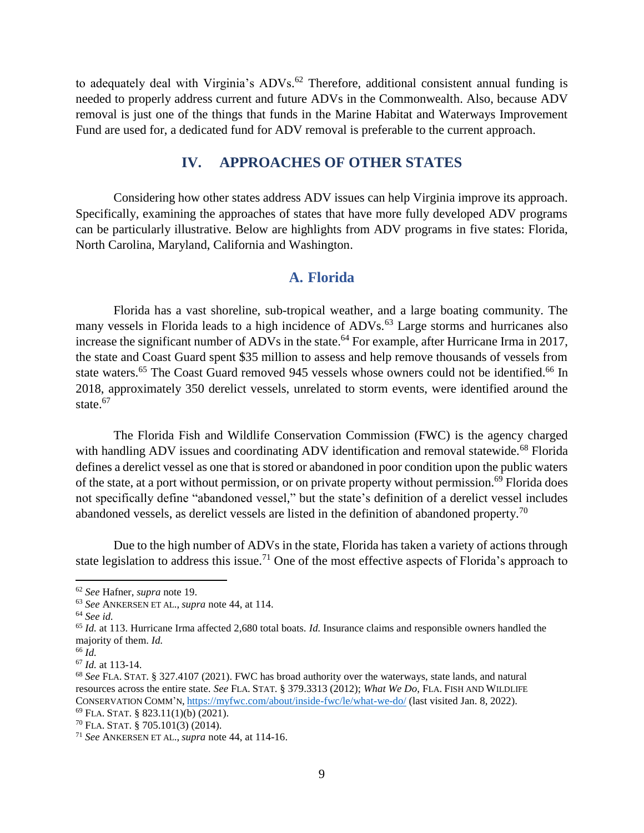to adequately deal with Virginia's ADVs.<sup>62</sup> Therefore, additional consistent annual funding is needed to properly address current and future ADVs in the Commonwealth. Also, because ADV removal is just one of the things that funds in the Marine Habitat and Waterways Improvement Fund are used for, a dedicated fund for ADV removal is preferable to the current approach.

# **IV. APPROACHES OF OTHER STATES**

Considering how other states address ADV issues can help Virginia improve its approach. Specifically, examining the approaches of states that have more fully developed ADV programs can be particularly illustrative. Below are highlights from ADV programs in five states: Florida, North Carolina, Maryland, California and Washington.

# **A. Florida**

Florida has a vast shoreline, sub-tropical weather, and a large boating community. The many vessels in Florida leads to a high incidence of ADVs.<sup>63</sup> Large storms and hurricanes also increase the significant number of ADVs in the state.<sup>64</sup> For example, after Hurricane Irma in 2017, the state and Coast Guard spent \$35 million to assess and help remove thousands of vessels from state waters.<sup>65</sup> The Coast Guard removed 945 vessels whose owners could not be identified.<sup>66</sup> In 2018, approximately 350 derelict vessels, unrelated to storm events, were identified around the state.<sup>67</sup>

The Florida Fish and Wildlife Conservation Commission (FWC) is the agency charged with handling ADV issues and coordinating ADV identification and removal statewide.<sup>68</sup> Florida defines a derelict vessel as one that is stored or abandoned in poor condition upon the public waters of the state, at a port without permission, or on private property without permission.<sup>69</sup> Florida does not specifically define "abandoned vessel," but the state's definition of a derelict vessel includes abandoned vessels, as derelict vessels are listed in the definition of abandoned property.<sup>70</sup>

Due to the high number of ADVs in the state, Florida has taken a variety of actions through state legislation to address this issue.<sup>71</sup> One of the most effective aspects of Florida's approach to

<sup>62</sup> *See* Hafner, *supra* note [19.](#page-3-1)

<sup>63</sup> *See* ANKERSEN ET AL., *supra* note [44,](#page-6-0) at 114.

<sup>64</sup> *See id.*

<sup>65</sup> *Id.* at 113. Hurricane Irma affected 2,680 total boats. *Id.* Insurance claims and responsible owners handled the majority of them. *Id.*

<sup>66</sup> *Id.* 

<sup>67</sup> *Id.* at 113-14.

<sup>68</sup> *See* FLA. STAT. § 327.4107 (2021). FWC has broad authority over the waterways, state lands, and natural resources across the entire state. *See* FLA. STAT. § 379.3313 (2012); *What We Do*, FLA. FISH AND WILDLIFE CONSERVATION COMM'N, <https://myfwc.com/about/inside-fwc/le/what-we-do/> (last visited Jan. 8, 2022).  $69$  FLA. STAT. § 823.11(1)(b) (2021).

<sup>70</sup> FLA. STAT. § 705.101(3) (2014).

<sup>71</sup> *See* ANKERSEN ET AL., *supra* note [44,](#page-6-0) at 114-16.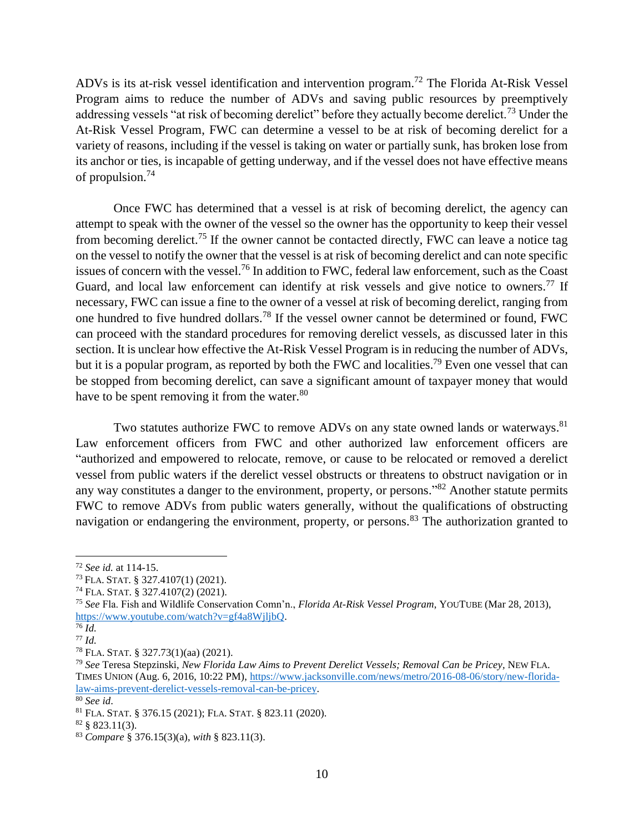ADVs is its at-risk vessel identification and intervention program. <sup>72</sup> The Florida At-Risk Vessel Program aims to reduce the number of ADVs and saving public resources by preemptively addressing vessels "at risk of becoming derelict" before they actually become derelict.<sup>73</sup> Under the At-Risk Vessel Program, FWC can determine a vessel to be at risk of becoming derelict for a variety of reasons, including if the vessel is taking on water or partially sunk, has broken lose from its anchor or ties, is incapable of getting underway, and if the vessel does not have effective means of propulsion.<sup>74</sup>

Once FWC has determined that a vessel is at risk of becoming derelict, the agency can attempt to speak with the owner of the vessel so the owner has the opportunity to keep their vessel from becoming derelict.<sup>75</sup> If the owner cannot be contacted directly, FWC can leave a notice tag on the vessel to notify the owner that the vessel is at risk of becoming derelict and can note specific issues of concern with the vessel.<sup>76</sup> In addition to FWC, federal law enforcement, such as the Coast Guard, and local law enforcement can identify at risk vessels and give notice to owners.<sup>77</sup> If necessary, FWC can issue a fine to the owner of a vessel at risk of becoming derelict, ranging from one hundred to five hundred dollars. <sup>78</sup> If the vessel owner cannot be determined or found, FWC can proceed with the standard procedures for removing derelict vessels, as discussed later in this section. It is unclear how effective the At-Risk Vessel Program is in reducing the number of ADVs, but it is a popular program, as reported by both the FWC and localities.<sup>79</sup> Even one vessel that can be stopped from becoming derelict, can save a significant amount of taxpayer money that would have to be spent removing it from the water.<sup>80</sup>

Two statutes authorize FWC to remove ADVs on any state owned lands or waterways.<sup>81</sup> Law enforcement officers from FWC and other authorized law enforcement officers are "authorized and empowered to relocate, remove, or cause to be relocated or removed a derelict vessel from public waters if the derelict vessel obstructs or threatens to obstruct navigation or in any way constitutes a danger to the environment, property, or persons."<sup>82</sup> Another statute permits FWC to remove ADVs from public waters generally, without the qualifications of obstructing navigation or endangering the environment, property, or persons.<sup>83</sup> The authorization granted to

<sup>72</sup> *See id.* at 114-15.

<sup>73</sup> FLA. STAT. § 327.4107(1) (2021).

<sup>74</sup> FLA. STAT. § 327.4107(2) (2021).

<sup>75</sup> *See* Fla. Fish and Wildlife Conservation Comn'n., *Florida At-Risk Vessel Program*, YOUTUBE (Mar 28, 2013), [https://www.youtube.com/watch?v=gf4a8WjljbQ.](https://www.youtube.com/watch?v=gf4a8WjljbQ)

<sup>76</sup> *Id.*

<sup>77</sup> *Id.*

<sup>78</sup> FLA. STAT. § 327.73(1)(aa) (2021).

<sup>79</sup> *See* Teresa Stepzinski, *New Florida Law Aims to Prevent Derelict Vessels; Removal Can be Pricey,* NEW FLA. TIMES UNION (Aug. 6, 2016, 10:22 PM)[, https://www.jacksonville.com/news/metro/2016-08-06/story/new-florida](https://www.jacksonville.com/news/metro/2016-08-06/story/new-florida-law-aims-prevent-derelict-vessels-removal-can-be-pricey)[law-aims-prevent-derelict-vessels-removal-can-be-pricey.](https://www.jacksonville.com/news/metro/2016-08-06/story/new-florida-law-aims-prevent-derelict-vessels-removal-can-be-pricey) 

<sup>80</sup> *See id*.

<sup>81</sup> FLA. STAT. § 376.15 (2021); FLA. STAT. § 823.11 (2020).

 $82 \frac{8}{9}$  823.11(3).

<sup>83</sup> *Compare* § 376.15(3)(a), *with* § 823.11(3).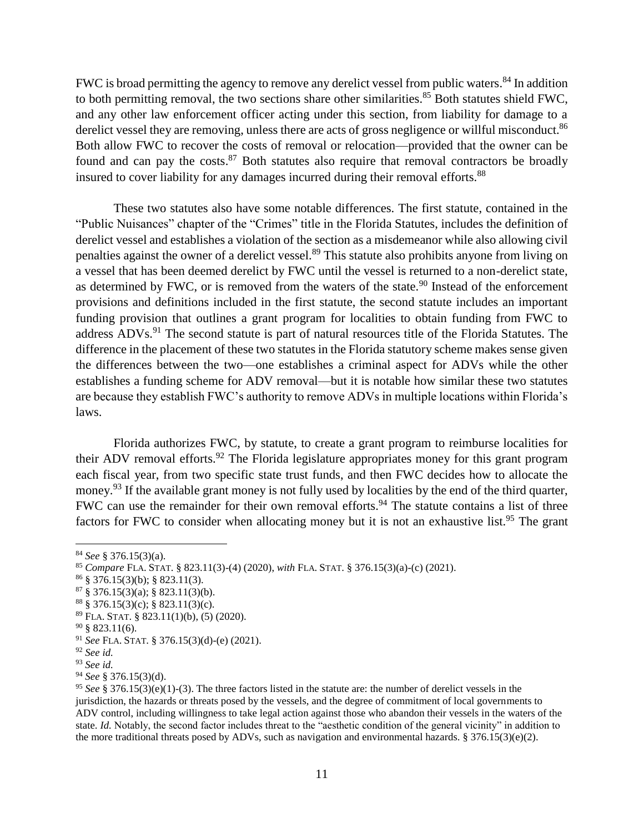FWC is broad permitting the agency to remove any derelict vessel from public waters.<sup>84</sup> In addition to both permitting removal, the two sections share other similarities.<sup>85</sup> Both statutes shield FWC, and any other law enforcement officer acting under this section, from liability for damage to a derelict vessel they are removing, unless there are acts of gross negligence or willful misconduct.<sup>86</sup> Both allow FWC to recover the costs of removal or relocation—provided that the owner can be found and can pay the costs.<sup>87</sup> Both statutes also require that removal contractors be broadly insured to cover liability for any damages incurred during their removal efforts.<sup>88</sup>

These two statutes also have some notable differences. The first statute, contained in the "Public Nuisances" chapter of the "Crimes" title in the Florida Statutes, includes the definition of derelict vessel and establishes a violation of the section as a misdemeanor while also allowing civil penalties against the owner of a derelict vessel.<sup>89</sup> This statute also prohibits anyone from living on a vessel that has been deemed derelict by FWC until the vessel is returned to a non-derelict state, as determined by FWC, or is removed from the waters of the state.<sup>90</sup> Instead of the enforcement provisions and definitions included in the first statute, the second statute includes an important funding provision that outlines a grant program for localities to obtain funding from FWC to address ADVs.<sup>91</sup> The second statute is part of natural resources title of the Florida Statutes. The difference in the placement of these two statutes in the Florida statutory scheme makes sense given the differences between the two—one establishes a criminal aspect for ADVs while the other establishes a funding scheme for ADV removal—but it is notable how similar these two statutes are because they establish FWC's authority to remove ADVs in multiple locations within Florida's laws.

Florida authorizes FWC, by statute, to create a grant program to reimburse localities for their ADV removal efforts.<sup>92</sup> The Florida legislature appropriates money for this grant program each fiscal year, from two specific state trust funds, and then FWC decides how to allocate the money.<sup>93</sup> If the available grant money is not fully used by localities by the end of the third quarter, FWC can use the remainder for their own removal efforts.<sup>94</sup> The statute contains a list of three factors for FWC to consider when allocating money but it is not an exhaustive list.<sup>95</sup> The grant

- $86 \S$  376.15(3)(b); § 823.11(3).
- $87 \text{ } \$\,376.15(3)(a); \, \$ \,823.11(3)(b).$

<sup>84</sup> *See* § 376.15(3)(a).

<sup>85</sup> *Compare* FLA. STAT. § 823.11(3)-(4) (2020), *with* FLA. STAT. § 376.15(3)(a)-(c) (2021).

 $88 \text{ } \frac{376.15(3)(c)}{6}$ ;  $\frac{8823.11(3)(c)}{6}$ .

<sup>89</sup> FLA. STAT. § 823.11(1)(b), (5) (2020).

 $90 \text{ }$  § 823.11(6).

<sup>91</sup> *See* FLA. STAT. § 376.15(3)(d)-(e) (2021).

<sup>92</sup> *See id.*

<sup>93</sup> *See id.*

<sup>94</sup> *See* § 376.15(3)(d).

<sup>95</sup> *See* § 376.15(3)(e)(1)-(3). The three factors listed in the statute are: the number of derelict vessels in the jurisdiction, the hazards or threats posed by the vessels, and the degree of commitment of local governments to ADV control, including willingness to take legal action against those who abandon their vessels in the waters of the state. *Id.* Notably, the second factor includes threat to the "aesthetic condition of the general vicinity" in addition to the more traditional threats posed by ADVs, such as navigation and environmental hazards. § 376.15(3)(e)(2).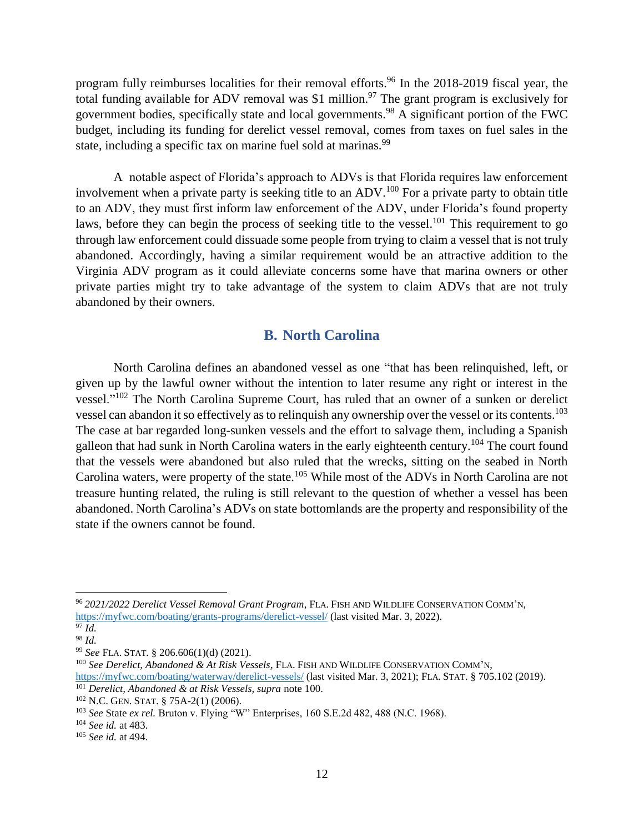program fully reimburses localities for their removal efforts. <sup>96</sup> In the 2018-2019 fiscal year, the total funding available for ADV removal was \$1 million.<sup>97</sup> The grant program is exclusively for government bodies, specifically state and local governments.<sup>98</sup> A significant portion of the FWC budget, including its funding for derelict vessel removal, comes from taxes on fuel sales in the state, including a specific tax on marine fuel sold at marinas.<sup>99</sup>

A notable aspect of Florida's approach to ADVs is that Florida requires law enforcement involvement when a private party is seeking title to an ADV.<sup>100</sup> For a private party to obtain title to an ADV, they must first inform law enforcement of the ADV, under Florida's found property laws, before they can begin the process of seeking title to the vessel.<sup>101</sup> This requirement to go through law enforcement could dissuade some people from trying to claim a vessel that is not truly abandoned. Accordingly, having a similar requirement would be an attractive addition to the Virginia ADV program as it could alleviate concerns some have that marina owners or other private parties might try to take advantage of the system to claim ADVs that are not truly abandoned by their owners.

## <span id="page-11-0"></span>**B. North Carolina**

North Carolina defines an abandoned vessel as one "that has been relinquished, left, or given up by the lawful owner without the intention to later resume any right or interest in the vessel."<sup>102</sup> The North Carolina Supreme Court, has ruled that an owner of a sunken or derelict vessel can abandon it so effectively as to relinquish any ownership over the vessel or its contents.<sup>103</sup> The case at bar regarded long-sunken vessels and the effort to salvage them, including a Spanish galleon that had sunk in North Carolina waters in the early eighteenth century.<sup>104</sup> The court found that the vessels were abandoned but also ruled that the wrecks, sitting on the seabed in North Carolina waters, were property of the state.<sup>105</sup> While most of the ADVs in North Carolina are not treasure hunting related, the ruling is still relevant to the question of whether a vessel has been abandoned. North Carolina's ADVs on state bottomlands are the property and responsibility of the state if the owners cannot be found.

<sup>96</sup> *2021/2022 Derelict Vessel Removal Grant Program*, FLA. FISH AND WILDLIFE CONSERVATION COMM'N, <https://myfwc.com/boating/grants-programs/derelict-vessel/> (last visited Mar. 3, 2022).

<sup>97</sup> *Id.* <sup>98</sup> *Id.* 

<sup>99</sup> *See* FLA. STAT. § 206.606(1)(d) (2021).

<sup>100</sup> *See Derelict, Abandoned & At Risk Vessels*, FLA. FISH AND WILDLIFE CONSERVATION COMM'N, <https://myfwc.com/boating/waterway/derelict-vessels/> (last visited Mar. 3, 2021); FLA. STAT. § 705.102 (2019).

<sup>101</sup> *Derelict, Abandoned & at Risk Vessels, supra* note [100.](#page-11-0)

<sup>102</sup> N.C. GEN. STAT. § 75A-2(1) (2006).

<sup>103</sup> *See* State *ex rel.* Bruton v. Flying "W" Enterprises, 160 S.E.2d 482, 488 (N.C. 1968).

<sup>104</sup> *See id.* at 483.

<sup>105</sup> *See id.* at 494.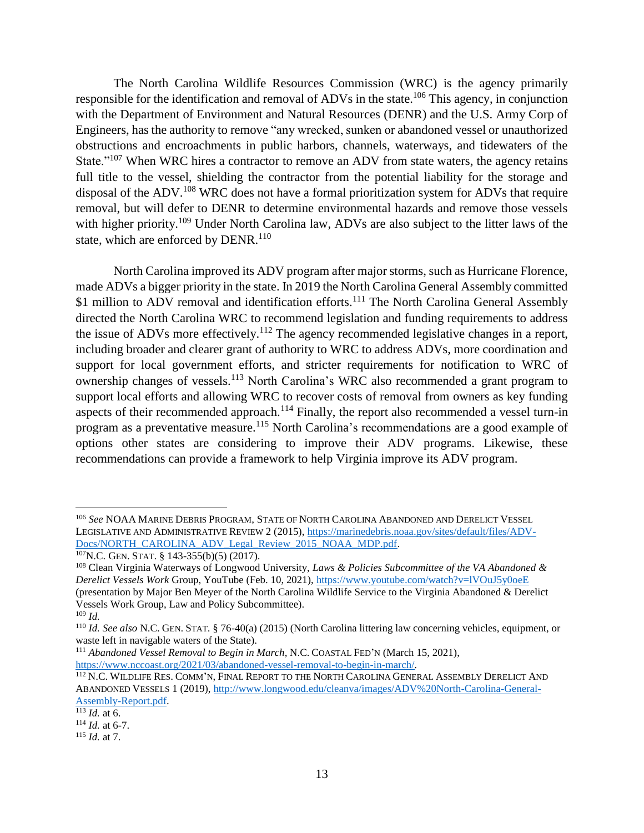The North Carolina Wildlife Resources Commission (WRC) is the agency primarily responsible for the identification and removal of ADVs in the state.<sup>106</sup> This agency, in conjunction with the Department of Environment and Natural Resources (DENR) and the U.S. Army Corp of Engineers, has the authority to remove "any wrecked, sunken or abandoned vessel or unauthorized obstructions and encroachments in public harbors, channels, waterways, and tidewaters of the State."<sup>107</sup> When WRC hires a contractor to remove an ADV from state waters, the agency retains full title to the vessel, shielding the contractor from the potential liability for the storage and disposal of the ADV.<sup>108</sup> WRC does not have a formal prioritization system for ADVs that require removal, but will defer to DENR to determine environmental hazards and remove those vessels with higher priority.<sup>109</sup> Under North Carolina law, ADVs are also subject to the litter laws of the state, which are enforced by DENR.<sup>110</sup>

North Carolina improved its ADV program after major storms, such as Hurricane Florence, made ADVs a bigger priority in the state. In 2019 the North Carolina General Assembly committed \$1 million to ADV removal and identification efforts.<sup>111</sup> The North Carolina General Assembly directed the North Carolina WRC to recommend legislation and funding requirements to address the issue of ADVs more effectively.<sup>112</sup> The agency recommended legislative changes in a report, including broader and clearer grant of authority to WRC to address ADVs, more coordination and support for local government efforts, and stricter requirements for notification to WRC of ownership changes of vessels.<sup>113</sup> North Carolina's WRC also recommended a grant program to support local efforts and allowing WRC to recover costs of removal from owners as key funding aspects of their recommended approach.<sup>114</sup> Finally, the report also recommended a vessel turn-in program as a preventative measure.<sup>115</sup> North Carolina's recommendations are a good example of options other states are considering to improve their ADV programs. Likewise, these recommendations can provide a framework to help Virginia improve its ADV program.

<sup>106</sup> *See* NOAA MARINE DEBRIS PROGRAM, STATE OF NORTH CAROLINA ABANDONED AND DERELICT VESSEL LEGISLATIVE AND ADMINISTRATIVE REVIEW 2 (2015), [https://marinedebris.noaa.gov/sites/default/files/ADV-](https://marinedebris.noaa.gov/sites/default/files/ADV-Docs/NORTH_CAROLINA_ADV_Legal_Review_2015_NOAA_MDP.pdf)[Docs/NORTH\\_CAROLINA\\_ADV\\_Legal\\_Review\\_2015\\_NOAA\\_MDP.pdf.](https://marinedebris.noaa.gov/sites/default/files/ADV-Docs/NORTH_CAROLINA_ADV_Legal_Review_2015_NOAA_MDP.pdf)

<sup>107</sup>N.C. GEN. STAT. § 143-355(b)(5) (2017).

<sup>108</sup> Clean Virginia Waterways of Longwood University, *Laws & Policies Subcommittee of the VA Abandoned & Derelict Vessels Work* Group, YouTube (Feb. 10, 2021),<https://www.youtube.com/watch?v=lVOuJ5y0oeE> (presentation by Major Ben Meyer of the North Carolina Wildlife Service to the Virginia Abandoned & Derelict Vessels Work Group, Law and Policy Subcommittee). <sup>109</sup> *Id.*

<sup>110</sup> *Id. See also* N.C. GEN. STAT. § 76-40(a) (2015) (North Carolina littering law concerning vehicles, equipment, or waste left in navigable waters of the State).

<sup>111</sup> *Abandoned Vessel Removal to Begin in March,* N.C. COASTAL FED'N (March 15, 2021), [https://www.nccoast.org/2021/03/abandoned-vessel-removal-to-begin-in-march/.](https://www.nccoast.org/2021/03/abandoned-vessel-removal-to-begin-in-march/)

<sup>&</sup>lt;sup>112</sup> N.C. WILDLIFE RES. COMM'N, FINAL REPORT TO THE NORTH CAROLINA GENERAL ASSEMBLY DERELICT AND ABANDONED VESSELS 1 (2019), [http://www.longwood.edu/cleanva/images/ADV%20North-Carolina-General-](http://www.longwood.edu/cleanva/images/ADV%20North-Carolina-General-Assembly-Report.pdf)[Assembly-Report.pdf.](http://www.longwood.edu/cleanva/images/ADV%20North-Carolina-General-Assembly-Report.pdf)

 $\frac{113}{113}$  *Id.* at 6.

<sup>114</sup> *Id.* at 6-7.

<sup>115</sup> *Id.* at 7.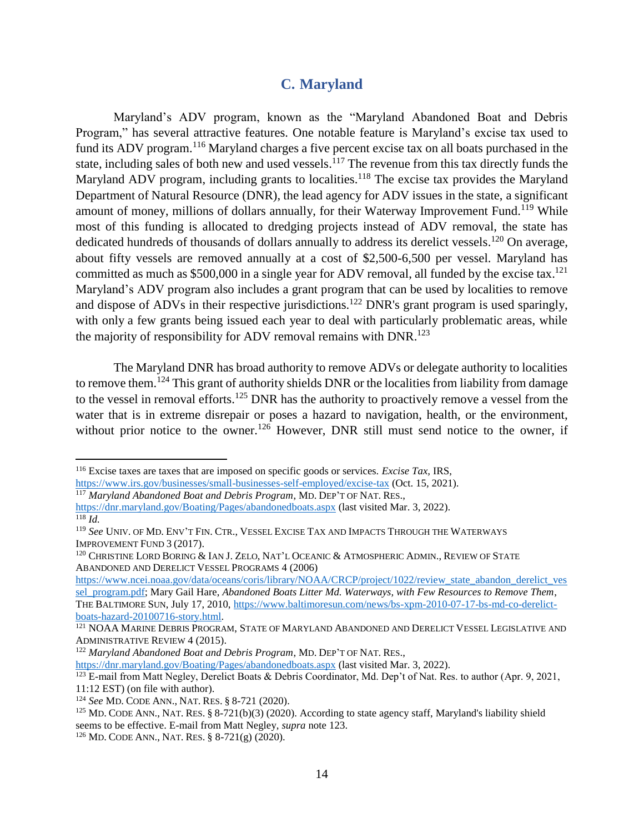# <span id="page-13-0"></span>**C. Maryland**

Maryland's ADV program, known as the "Maryland Abandoned Boat and Debris Program," has several attractive features. One notable feature is Maryland's excise tax used to fund its ADV program.<sup>116</sup> Maryland charges a five percent excise tax on all boats purchased in the state, including sales of both new and used vessels.<sup>117</sup> The revenue from this tax directly funds the Maryland ADV program, including grants to localities.<sup>118</sup> The excise tax provides the Maryland Department of Natural Resource (DNR), the lead agency for ADV issues in the state, a significant amount of money, millions of dollars annually, for their Waterway Improvement Fund.<sup>119</sup> While most of this funding is allocated to dredging projects instead of ADV removal, the state has dedicated hundreds of thousands of dollars annually to address its derelict vessels.<sup>120</sup> On average, about fifty vessels are removed annually at a cost of \$2,500-6,500 per vessel. Maryland has committed as much as \$500,000 in a single year for ADV removal, all funded by the excise tax.<sup>121</sup> Maryland's ADV program also includes a grant program that can be used by localities to remove and dispose of ADVs in their respective jurisdictions.<sup>122</sup> DNR's grant program is used sparingly, with only a few grants being issued each year to deal with particularly problematic areas, while the majority of responsibility for ADV removal remains with DNR.<sup>123</sup>

The Maryland DNR has broad authority to remove ADVs or delegate authority to localities to remove them.<sup>124</sup> This grant of authority shields DNR or the localities from liability from damage to the vessel in removal efforts.<sup>125</sup> DNR has the authority to proactively remove a vessel from the water that is in extreme disrepair or poses a hazard to navigation, health, or the environment, without prior notice to the owner.<sup>126</sup> However, DNR still must send notice to the owner, if

l

<sup>116</sup> Excise taxes are taxes that are imposed on specific goods or services. *Excise Tax,* IRS,

<https://www.irs.gov/businesses/small-businesses-self-employed/excise-tax> (Oct. 15, 2021).

<sup>117</sup> *Maryland Abandoned Boat and Debris Program*, MD. DEP'T OF NAT. RES.,

<https://dnr.maryland.gov/Boating/Pages/abandonedboats.aspx> (last visited Mar. 3, 2022). <sup>118</sup> *Id.*

<sup>119</sup> *See* UNIV. OF MD. ENV'T FIN. CTR., VESSEL EXCISE TAX AND IMPACTS THROUGH THE WATERWAYS IMPROVEMENT FUND 3 (2017).

<sup>&</sup>lt;sup>120</sup> CHRISTINE LORD BORING & IAN J. ZELO, NAT'L OCEANIC & ATMOSPHERIC ADMIN., REVIEW OF STATE ABANDONED AND DERELICT VESSEL PROGRAMS 4 (2006)

[https://www.ncei.noaa.gov/data/oceans/coris/library/NOAA/CRCP/project/1022/review\\_state\\_abandon\\_derelict\\_ves](https://www.ncei.noaa.gov/data/oceans/coris/library/NOAA/CRCP/project/1022/review_state_abandon_derelict_vessel_program.pdf) [sel\\_program.pdf;](https://www.ncei.noaa.gov/data/oceans/coris/library/NOAA/CRCP/project/1022/review_state_abandon_derelict_vessel_program.pdf) Mary Gail Hare, *Abandoned Boats Litter Md. Waterways, with Few Resources to Remove Them*, THE BALTIMORE SUN, July 17, 2010, [https://www.baltimoresun.com/news/bs-xpm-2010-07-17-bs-md-co-derelict](https://www.baltimoresun.com/news/bs-xpm-2010-07-17-bs-md-co-derelict-boats-hazard-20100716-story.html)[boats-hazard-20100716-story.html.](https://www.baltimoresun.com/news/bs-xpm-2010-07-17-bs-md-co-derelict-boats-hazard-20100716-story.html)

<sup>&</sup>lt;sup>121</sup> NOAA MARINE DEBRIS PROGRAM, STATE OF MARYLAND ABANDONED AND DERELICT VESSEL LEGISLATIVE AND ADMINISTRATIVE REVIEW 4 (2015).

<sup>122</sup> *Maryland Abandoned Boat and Debris Program*, MD. DEP'T OF NAT. RES.,

<https://dnr.maryland.gov/Boating/Pages/abandonedboats.aspx> (last visited Mar. 3, 2022).

<sup>&</sup>lt;sup>123</sup> E-mail from Matt Negley, Derelict Boats & Debris Coordinator, Md. Dep't of Nat. Res. to author (Apr. 9, 2021, 11:12 EST) (on file with author).

<sup>124</sup> *See* MD. CODE ANN., NAT. RES. § 8-721 (2020).

<sup>&</sup>lt;sup>125</sup> MD. CODE ANN., NAT. RES. § 8-721(b)(3) (2020). According to state agency staff, Maryland's liability shield seems to be effective. E-mail from Matt Negley, *supra* note [123.](#page-13-0)

<sup>126</sup> MD. CODE ANN., NAT. RES. § 8-721(g) (2020).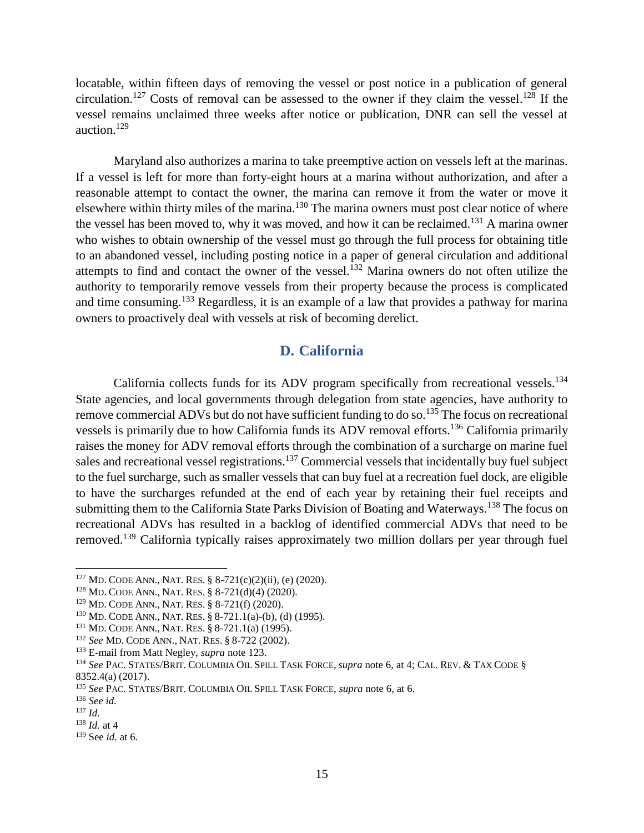locatable, within fifteen days of removing the vessel or post notice in a publication of general circulation.<sup>127</sup> Costs of removal can be assessed to the owner if they claim the vessel.<sup>128</sup> If the vessel remains unclaimed three weeks after notice or publication, DNR can sell the vessel at auction.<sup>129</sup>

Maryland also authorizes a marina to take preemptive action on vessels left at the marinas. If a vessel is left for more than forty-eight hours at a marina without authorization, and after a reasonable attempt to contact the owner, the marina can remove it from the water or move it elsewhere within thirty miles of the marina.<sup>130</sup> The marina owners must post clear notice of where the vessel has been moved to, why it was moved, and how it can be reclaimed.<sup>131</sup> A marina owner who wishes to obtain ownership of the vessel must go through the full process for obtaining title to an abandoned vessel, including posting notice in a paper of general circulation and additional attempts to find and contact the owner of the vessel.<sup>132</sup> Marina owners do not often utilize the authority to temporarily remove vessels from their property because the process is complicated and time consuming.<sup>133</sup> Regardless, it is an example of a law that provides a pathway for marina owners to proactively deal with vessels at risk of becoming derelict.

## **D. California**

California collects funds for its ADV program specifically from recreational vessels.<sup>134</sup> State agencies, and local governments through delegation from state agencies, have authority to remove commercial ADVs but do not have sufficient funding to do so.<sup>135</sup> The focus on recreational vessels is primarily due to how California funds its ADV removal efforts.<sup>136</sup> California primarily raises the money for ADV removal efforts through the combination of a surcharge on marine fuel sales and recreational vessel registrations.<sup>137</sup> Commercial vessels that incidentally buy fuel subject to the fuel surcharge, such as smaller vessels that can buy fuel at a recreation fuel dock, are eligible to have the surcharges refunded at the end of each year by retaining their fuel receipts and submitting them to the California State Parks Division of Boating and Waterways.<sup>138</sup> The focus on recreational ADVs has resulted in a backlog of identified commercial ADVs that need to be removed.<sup>139</sup> California typically raises approximately two million dollars per year through fuel

<sup>127</sup> MD. CODE ANN., NAT. RES. § 8-721(c)(2)(ii), (e) (2020).

<sup>128</sup> MD. CODE ANN., NAT. RES. § 8-721(d)(4) (2020).

<sup>129</sup> MD. CODE ANN., NAT. RES. § 8-721(f) (2020).

<sup>130</sup> MD. CODE ANN., NAT. RES. § 8-721.1(a)-(b), (d) (1995).

<sup>131</sup> MD. CODE ANN., NAT. RES. § 8-721.1(a) (1995).

<sup>132</sup> *See* MD. CODE ANN., NAT. RES. § 8-722 (2002).

<sup>133</sup> E-mail from Matt Negley, *supra* note [123.](#page-13-0)

<sup>134</sup> *See* PAC. STATES/BRIT. COLUMBIA OIL SPILL TASK FORCE, *supra* note [6,](#page-2-0) at 4; CAL. REV. & TAX CODE § 8352.4(a) (2017).

<sup>135</sup> *See* PAC. STATES/BRIT. COLUMBIA OIL SPILL TASK FORCE, *supra* note [6,](#page-2-0) at 6.

<sup>136</sup> *See id.*

<sup>137</sup> *Id.*

<sup>138</sup> *Id.* at 4

<sup>139</sup> See *id.* at 6*.*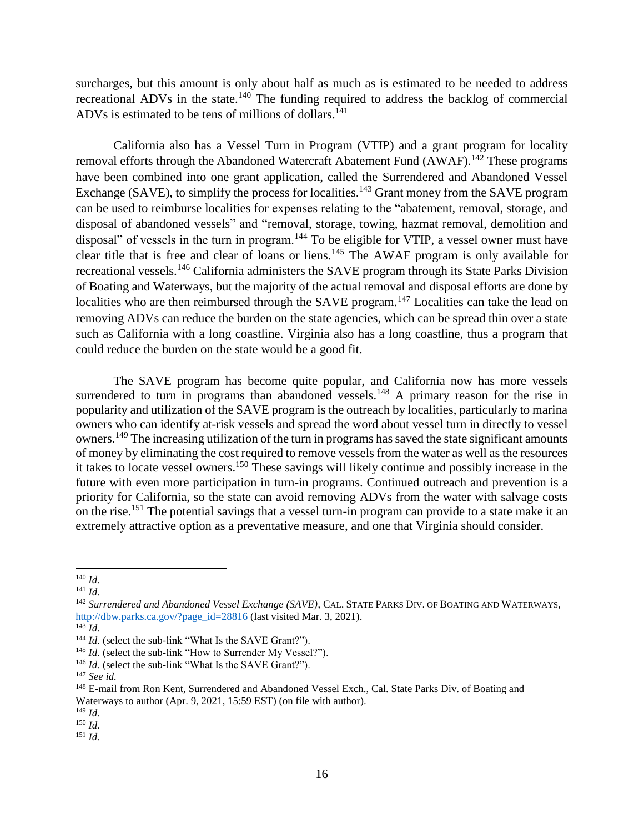surcharges, but this amount is only about half as much as is estimated to be needed to address recreational ADVs in the state.<sup>140</sup> The funding required to address the backlog of commercial ADVs is estimated to be tens of millions of dollars.<sup>141</sup>

California also has a Vessel Turn in Program (VTIP) and a grant program for locality removal efforts through the Abandoned Watercraft Abatement Fund (AWAF).<sup>142</sup> These programs have been combined into one grant application, called the Surrendered and Abandoned Vessel Exchange (SAVE), to simplify the process for localities.<sup>143</sup> Grant money from the SAVE program can be used to reimburse localities for expenses relating to the "abatement, removal, storage, and disposal of abandoned vessels" and "removal, storage, towing, hazmat removal, demolition and disposal" of vessels in the turn in program.<sup>144</sup> To be eligible for VTIP, a vessel owner must have clear title that is free and clear of loans or liens.<sup>145</sup> The AWAF program is only available for recreational vessels.<sup>146</sup> California administers the SAVE program through its State Parks Division of Boating and Waterways, but the majority of the actual removal and disposal efforts are done by localities who are then reimbursed through the SAVE program.<sup>147</sup> Localities can take the lead on removing ADVs can reduce the burden on the state agencies, which can be spread thin over a state such as California with a long coastline. Virginia also has a long coastline, thus a program that could reduce the burden on the state would be a good fit.

<span id="page-15-0"></span>The SAVE program has become quite popular, and California now has more vessels surrendered to turn in programs than abandoned vessels.<sup>148</sup> A primary reason for the rise in popularity and utilization of the SAVE program is the outreach by localities, particularly to marina owners who can identify at-risk vessels and spread the word about vessel turn in directly to vessel owners.<sup>149</sup> The increasing utilization of the turn in programs has saved the state significant amounts of money by eliminating the cost required to remove vessels from the water as well as the resources it takes to locate vessel owners. <sup>150</sup> These savings will likely continue and possibly increase in the future with even more participation in turn-in programs. Continued outreach and prevention is a priority for California, so the state can avoid removing ADVs from the water with salvage costs on the rise.<sup>151</sup> The potential savings that a vessel turn-in program can provide to a state make it an extremely attractive option as a preventative measure, and one that Virginia should consider.

<sup>140</sup> *Id.* 

<sup>141</sup> *Id.*

<sup>142</sup> *Surrendered and Abandoned Vessel Exchange (SAVE)*, CAL. STATE PARKS DIV. OF BOATING AND WATERWAYS, [http://dbw.parks.ca.gov/?page\\_id=28816](http://dbw.parks.ca.gov/?page_id=28816) (last visited Mar. 3, 2021).

<sup>143</sup> *Id.*

<sup>&</sup>lt;sup>144</sup> *Id.* (select the sub-link "What Is the SAVE Grant?").

<sup>&</sup>lt;sup>145</sup> *Id.* (select the sub-link "How to Surrender My Vessel?").

<sup>&</sup>lt;sup>146</sup> *Id.* (select the sub-link "What Is the SAVE Grant?").

<sup>147</sup> *See id.*

<sup>&</sup>lt;sup>148</sup> E-mail from Ron Kent, Surrendered and Abandoned Vessel Exch., Cal. State Parks Div. of Boating and Waterways to author (Apr. 9, 2021, 15:59 EST) (on file with author).

<sup>149</sup> *Id.*

<sup>150</sup> *Id.*

<sup>151</sup> *Id.*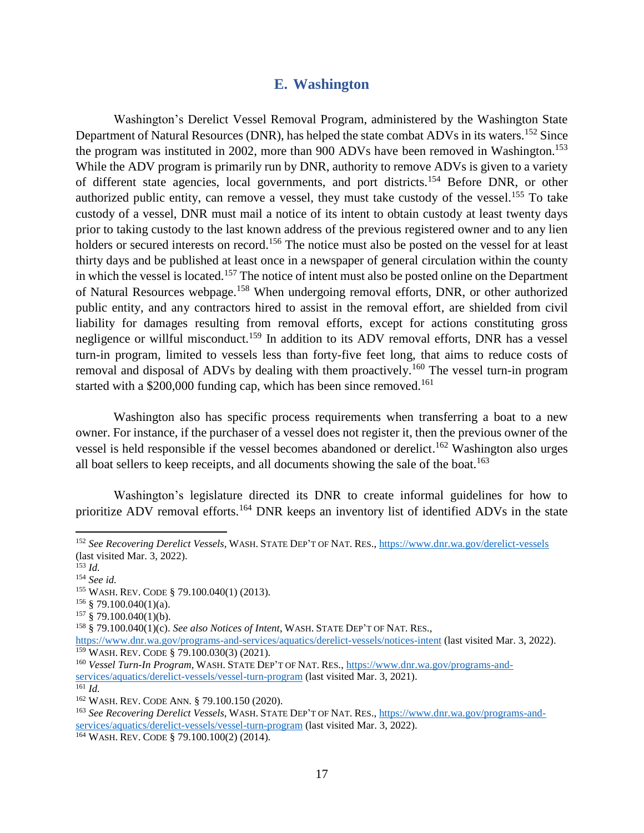#### **E. Washington**

Washington's Derelict Vessel Removal Program, administered by the Washington State Department of Natural Resources (DNR), has helped the state combat ADVs in its waters.<sup>152</sup> Since the program was instituted in 2002, more than 900 ADVs have been removed in Washington.<sup>153</sup> While the ADV program is primarily run by DNR, authority to remove ADVs is given to a variety of different state agencies, local governments, and port districts.<sup>154</sup> Before DNR, or other authorized public entity, can remove a vessel, they must take custody of the vessel.<sup>155</sup> To take custody of a vessel, DNR must mail a notice of its intent to obtain custody at least twenty days prior to taking custody to the last known address of the previous registered owner and to any lien holders or secured interests on record.<sup>156</sup> The notice must also be posted on the vessel for at least thirty days and be published at least once in a newspaper of general circulation within the county in which the vessel is located.<sup>157</sup> The notice of intent must also be posted online on the Department of Natural Resources webpage.<sup>158</sup> When undergoing removal efforts, DNR, or other authorized public entity, and any contractors hired to assist in the removal effort, are shielded from civil liability for damages resulting from removal efforts, except for actions constituting gross negligence or willful misconduct.<sup>159</sup> In addition to its ADV removal efforts, DNR has a vessel turn-in program, limited to vessels less than forty-five feet long, that aims to reduce costs of removal and disposal of ADVs by dealing with them proactively.<sup>160</sup> The vessel turn-in program started with a  $$200,000$  funding cap, which has been since removed.<sup>161</sup>

Washington also has specific process requirements when transferring a boat to a new owner. For instance, if the purchaser of a vessel does not register it, then the previous owner of the vessel is held responsible if the vessel becomes abandoned or derelict. <sup>162</sup> Washington also urges all boat sellers to keep receipts, and all documents showing the sale of the boat.<sup>163</sup>

Washington's legislature directed its DNR to create informal guidelines for how to prioritize ADV removal efforts.<sup>164</sup> DNR keeps an inventory list of identified ADVs in the state

l

<sup>152</sup> *See Recovering Derelict Vessels*, WASH. STATE DEP'T OF NAT. RES.[, https://www.dnr.wa.gov/derelict-vessels](https://www.dnr.wa.gov/derelict-vessels)  (last visited Mar. 3, 2022).

<sup>153</sup> *Id.*

<sup>154</sup> *See id.*

<sup>155</sup> WASH. REV. CODE § 79.100.040(1) (2013).

 $156 \text{ }$  \$79.100.040(1)(a).

 $157 \tS 79.100.040(1)(b).$ 

<sup>158</sup> § 79.100.040(1)(c). *See also Notices of Intent*, WASH. STATE DEP'T OF NAT. RES.,

<https://www.dnr.wa.gov/programs-and-services/aquatics/derelict-vessels/notices-intent> (last visited Mar. 3, 2022). <sup>159</sup> WASH. REV. CODE § 79.100.030(3) (2021).

<sup>160</sup> *Vessel Turn-In Program*, WASH. STATE DEP'T OF NAT. RES., [https://www.dnr.wa.gov/programs-and](https://www.dnr.wa.gov/programs-and-services/aquatics/derelict-vessels/vessel-turn-program)[services/aquatics/derelict-vessels/vessel-turn-program](https://www.dnr.wa.gov/programs-and-services/aquatics/derelict-vessels/vessel-turn-program) (last visited Mar. 3, 2021).

 $\overline{^{161}Id}$ .

<sup>162</sup> WASH. REV. CODE ANN. § 79.100.150 (2020).

<sup>163</sup> *See Recovering Derelict Vessels*, WASH. STATE DEP'T OF NAT. RES.[, https://www.dnr.wa.gov/programs-and](https://www.dnr.wa.gov/programs-and-services/aquatics/derelict-vessels/vessel-turn-program)[services/aquatics/derelict-vessels/vessel-turn-program](https://www.dnr.wa.gov/programs-and-services/aquatics/derelict-vessels/vessel-turn-program) (last visited Mar. 3, 2022).

<sup>164</sup> WASH. REV. CODE § 79.100.100(2) (2014).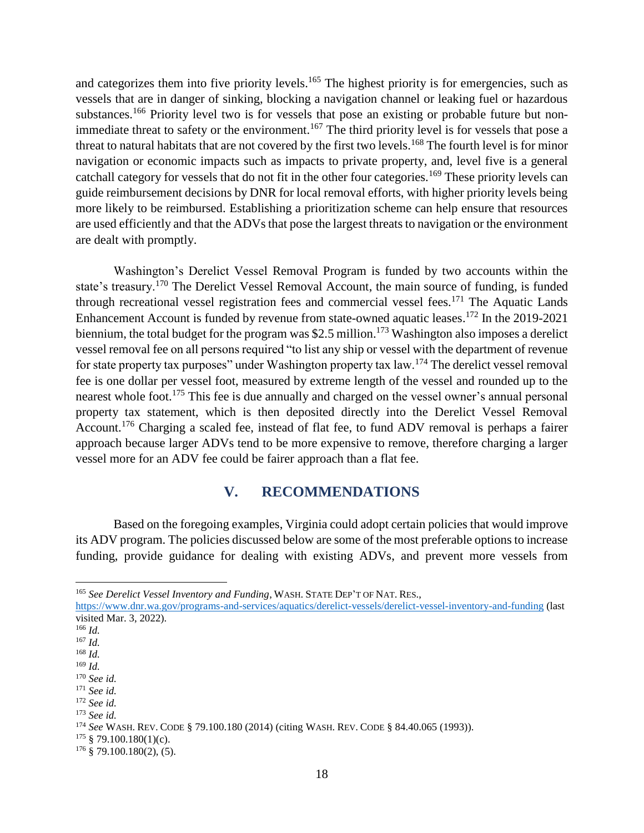<span id="page-17-0"></span>and categorizes them into five priority levels.<sup>165</sup> The highest priority is for emergencies, such as vessels that are in danger of sinking, blocking a navigation channel or leaking fuel or hazardous substances.<sup>166</sup> Priority level two is for vessels that pose an existing or probable future but nonimmediate threat to safety or the environment.<sup>167</sup> The third priority level is for vessels that pose a threat to natural habitats that are not covered by the first two levels.<sup>168</sup> The fourth level is for minor navigation or economic impacts such as impacts to private property, and, level five is a general catchall category for vessels that do not fit in the other four categories.<sup>169</sup> These priority levels can guide reimbursement decisions by DNR for local removal efforts, with higher priority levels being more likely to be reimbursed. Establishing a prioritization scheme can help ensure that resources are used efficiently and that the ADVs that pose the largest threats to navigation or the environment are dealt with promptly.

Washington's Derelict Vessel Removal Program is funded by two accounts within the state's treasury.<sup>170</sup> The Derelict Vessel Removal Account, the main source of funding, is funded through recreational vessel registration fees and commercial vessel fees.<sup>171</sup> The Aquatic Lands Enhancement Account is funded by revenue from state-owned aquatic leases.<sup>172</sup> In the 2019-2021 biennium, the total budget for the program was \$2.5 million.<sup>173</sup> Washington also imposes a derelict vessel removal fee on all persons required "to list any ship or vessel with the department of revenue for state property tax purposes" under Washington property tax law.<sup>174</sup> The derelict vessel removal fee is one dollar per vessel foot, measured by extreme length of the vessel and rounded up to the nearest whole foot.<sup>175</sup> This fee is due annually and charged on the vessel owner's annual personal property tax statement, which is then deposited directly into the Derelict Vessel Removal Account.<sup>176</sup> Charging a scaled fee, instead of flat fee, to fund ADV removal is perhaps a fairer approach because larger ADVs tend to be more expensive to remove, therefore charging a larger vessel more for an ADV fee could be fairer approach than a flat fee.

# **V. RECOMMENDATIONS**

Based on the foregoing examples, Virginia could adopt certain policies that would improve its ADV program. The policies discussed below are some of the most preferable options to increase funding, provide guidance for dealing with existing ADVs, and prevent more vessels from

<https://www.dnr.wa.gov/programs-and-services/aquatics/derelict-vessels/derelict-vessel-inventory-and-funding> (last visited Mar. 3, 2022).

<sup>165</sup> *See Derelict Vessel Inventory and Funding*, WASH. STATE DEP'T OF NAT. RES.,

<sup>166</sup> *Id.*

<sup>167</sup> *Id.*

<sup>168</sup> *Id.*

<sup>169</sup> *Id.*

<sup>170</sup> *See id.*

<sup>171</sup> *See id.*

<sup>172</sup> *See id.*

<sup>173</sup> *See id.*

<sup>174</sup> *See* WASH. REV. CODE § 79.100.180 (2014) (citing WASH. REV. CODE § 84.40.065 (1993)).

 $175 \text{ }$  \$79.100.180(1)(c).

 $176 \text{ }$  \$ 79.100.180(2), (5).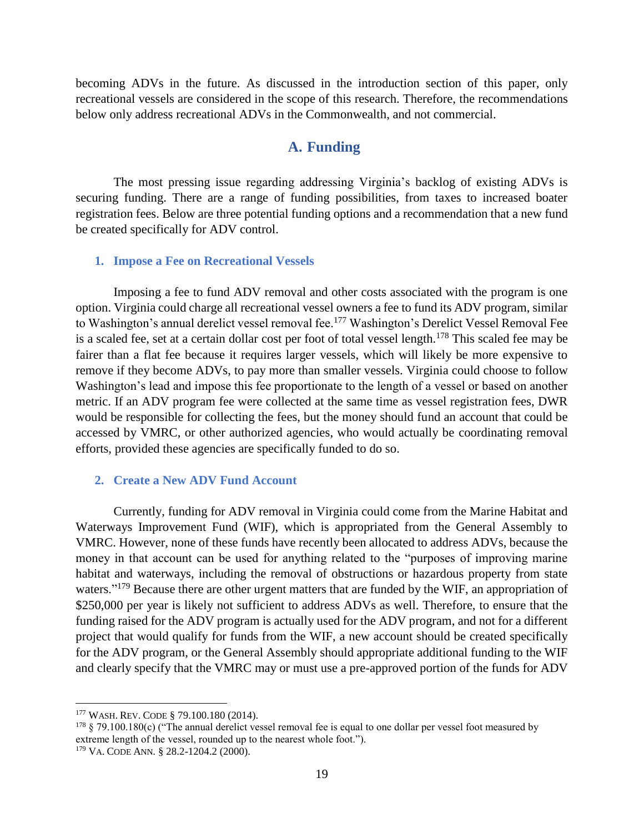becoming ADVs in the future. As discussed in the introduction section of this paper, only recreational vessels are considered in the scope of this research. Therefore, the recommendations below only address recreational ADVs in the Commonwealth, and not commercial.

# **A. Funding**

The most pressing issue regarding addressing Virginia's backlog of existing ADVs is securing funding. There are a range of funding possibilities, from taxes to increased boater registration fees. Below are three potential funding options and a recommendation that a new fund be created specifically for ADV control.

#### **1. Impose a Fee on Recreational Vessels**

Imposing a fee to fund ADV removal and other costs associated with the program is one option. Virginia could charge all recreational vessel owners a fee to fund its ADV program, similar to Washington's annual derelict vessel removal fee.<sup>177</sup> Washington's Derelict Vessel Removal Fee is a scaled fee, set at a certain dollar cost per foot of total vessel length.<sup>178</sup> This scaled fee may be fairer than a flat fee because it requires larger vessels, which will likely be more expensive to remove if they become ADVs, to pay more than smaller vessels. Virginia could choose to follow Washington's lead and impose this fee proportionate to the length of a vessel or based on another metric. If an ADV program fee were collected at the same time as vessel registration fees, DWR would be responsible for collecting the fees, but the money should fund an account that could be accessed by VMRC, or other authorized agencies, who would actually be coordinating removal efforts, provided these agencies are specifically funded to do so.

## **2. Create a New ADV Fund Account**

Currently, funding for ADV removal in Virginia could come from the Marine Habitat and Waterways Improvement Fund (WIF), which is appropriated from the General Assembly to VMRC. However, none of these funds have recently been allocated to address ADVs, because the money in that account can be used for anything related to the "purposes of improving marine habitat and waterways, including the removal of obstructions or hazardous property from state waters."<sup>179</sup> Because there are other urgent matters that are funded by the WIF, an appropriation of \$250,000 per year is likely not sufficient to address ADVs as well. Therefore, to ensure that the funding raised for the ADV program is actually used for the ADV program, and not for a different project that would qualify for funds from the WIF, a new account should be created specifically for the ADV program, or the General Assembly should appropriate additional funding to the WIF and clearly specify that the VMRC may or must use a pre-approved portion of the funds for ADV

<sup>177</sup> WASH. REV. CODE § 79.100.180 (2014).

<sup>&</sup>lt;sup>178</sup> § 79.100.180(c) ("The annual derelict vessel removal fee is equal to one dollar per vessel foot measured by extreme length of the vessel, rounded up to the nearest whole foot.").

<sup>179</sup> VA. CODE ANN. § 28.2-1204.2 (2000).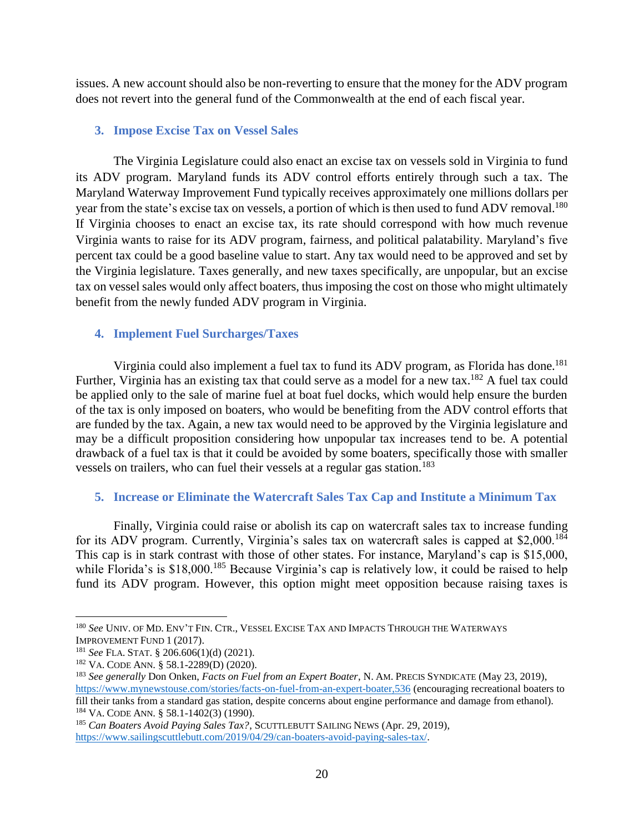issues. A new account should also be non-reverting to ensure that the money for the ADV program does not revert into the general fund of the Commonwealth at the end of each fiscal year.

#### **3. Impose Excise Tax on Vessel Sales**

The Virginia Legislature could also enact an excise tax on vessels sold in Virginia to fund its ADV program. Maryland funds its ADV control efforts entirely through such a tax. The Maryland Waterway Improvement Fund typically receives approximately one millions dollars per year from the state's excise tax on vessels, a portion of which is then used to fund ADV removal.<sup>180</sup> If Virginia chooses to enact an excise tax, its rate should correspond with how much revenue Virginia wants to raise for its ADV program, fairness, and political palatability. Maryland's five percent tax could be a good baseline value to start. Any tax would need to be approved and set by the Virginia legislature. Taxes generally, and new taxes specifically, are unpopular, but an excise tax on vessel sales would only affect boaters, thus imposing the cost on those who might ultimately benefit from the newly funded ADV program in Virginia.

#### **4. Implement Fuel Surcharges/Taxes**

Virginia could also implement a fuel tax to fund its ADV program, as Florida has done.<sup>181</sup> Further, Virginia has an existing tax that could serve as a model for a new tax.<sup>182</sup> A fuel tax could be applied only to the sale of marine fuel at boat fuel docks, which would help ensure the burden of the tax is only imposed on boaters, who would be benefiting from the ADV control efforts that are funded by the tax. Again, a new tax would need to be approved by the Virginia legislature and may be a difficult proposition considering how unpopular tax increases tend to be. A potential drawback of a fuel tax is that it could be avoided by some boaters, specifically those with smaller vessels on trailers, who can fuel their vessels at a regular gas station.<sup>183</sup>

## **5. Increase or Eliminate the Watercraft Sales Tax Cap and Institute a Minimum Tax**

Finally, Virginia could raise or abolish its cap on watercraft sales tax to increase funding for its ADV program. Currently, Virginia's sales tax on watercraft sales is capped at \$2,000.<sup>184</sup> This cap is in stark contrast with those of other states. For instance, Maryland's cap is \$15,000, while Florida's is \$18,000.<sup>185</sup> Because Virginia's cap is relatively low, it could be raised to help fund its ADV program. However, this option might meet opposition because raising taxes is

<sup>180</sup> *See* UNIV. OF MD. ENV'T FIN. CTR., VESSEL EXCISE TAX AND IMPACTS THROUGH THE WATERWAYS IMPROVEMENT FUND 1 (2017).

<sup>181</sup> *See* FLA. STAT. § 206.606(1)(d) (2021).

<sup>182</sup> VA. CODE ANN. § 58.1-2289(D) (2020).

<sup>183</sup> *See generally* Don Onken, *Facts on Fuel from an Expert Boater*, N. AM. PRECIS SYNDICATE (May 23, 2019), <https://www.mynewstouse.com/stories/facts-on-fuel-from-an-expert-boater,536> (encouraging recreational boaters to fill their tanks from a standard gas station, despite concerns about engine performance and damage from ethanol). <sup>184</sup> VA. CODE ANN. § 58.1-1402(3) (1990).

<sup>185</sup> *Can Boaters Avoid Paying Sales Tax?*, SCUTTLEBUTT SAILING NEWS (Apr. 29, 2019), [https://www.sailingscuttlebutt.com/2019/04/29/can-boaters-avoid-paying-sales-tax/.](https://www.sailingscuttlebutt.com/2019/04/29/can-boaters-avoid-paying-sales-tax/)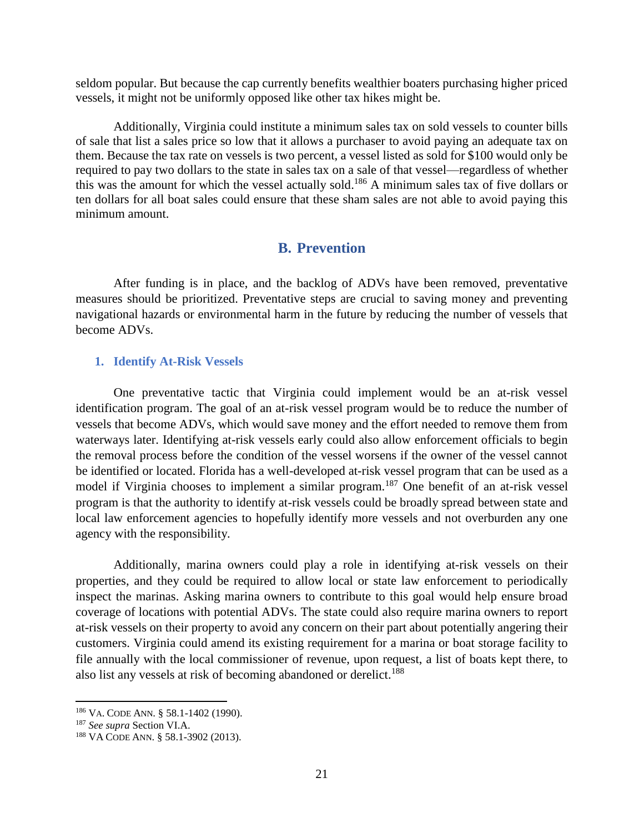seldom popular. But because the cap currently benefits wealthier boaters purchasing higher priced vessels, it might not be uniformly opposed like other tax hikes might be.

Additionally, Virginia could institute a minimum sales tax on sold vessels to counter bills of sale that list a sales price so low that it allows a purchaser to avoid paying an adequate tax on them. Because the tax rate on vessels is two percent, a vessel listed as sold for \$100 would only be required to pay two dollars to the state in sales tax on a sale of that vessel—regardless of whether this was the amount for which the vessel actually sold.<sup>186</sup> A minimum sales tax of five dollars or ten dollars for all boat sales could ensure that these sham sales are not able to avoid paying this minimum amount.

## **B. Prevention**

After funding is in place, and the backlog of ADVs have been removed, preventative measures should be prioritized. Preventative steps are crucial to saving money and preventing navigational hazards or environmental harm in the future by reducing the number of vessels that become ADVs.

#### **1. Identify At-Risk Vessels**

One preventative tactic that Virginia could implement would be an at-risk vessel identification program. The goal of an at-risk vessel program would be to reduce the number of vessels that become ADVs, which would save money and the effort needed to remove them from waterways later. Identifying at-risk vessels early could also allow enforcement officials to begin the removal process before the condition of the vessel worsens if the owner of the vessel cannot be identified or located. Florida has a well-developed at-risk vessel program that can be used as a model if Virginia chooses to implement a similar program.<sup>187</sup> One benefit of an at-risk vessel program is that the authority to identify at-risk vessels could be broadly spread between state and local law enforcement agencies to hopefully identify more vessels and not overburden any one agency with the responsibility.

Additionally, marina owners could play a role in identifying at-risk vessels on their properties, and they could be required to allow local or state law enforcement to periodically inspect the marinas. Asking marina owners to contribute to this goal would help ensure broad coverage of locations with potential ADVs. The state could also require marina owners to report at-risk vessels on their property to avoid any concern on their part about potentially angering their customers. Virginia could amend its existing requirement for a marina or boat storage facility to file annually with the local commissioner of revenue, upon request, a list of boats kept there, to also list any vessels at risk of becoming abandoned or derelict.<sup>188</sup>

<sup>186</sup> VA. CODE ANN. § 58.1-1402 (1990).

<sup>187</sup> *See supra* Section VI.A.

<sup>188</sup> VA CODE ANN. § 58.1-3902 (2013).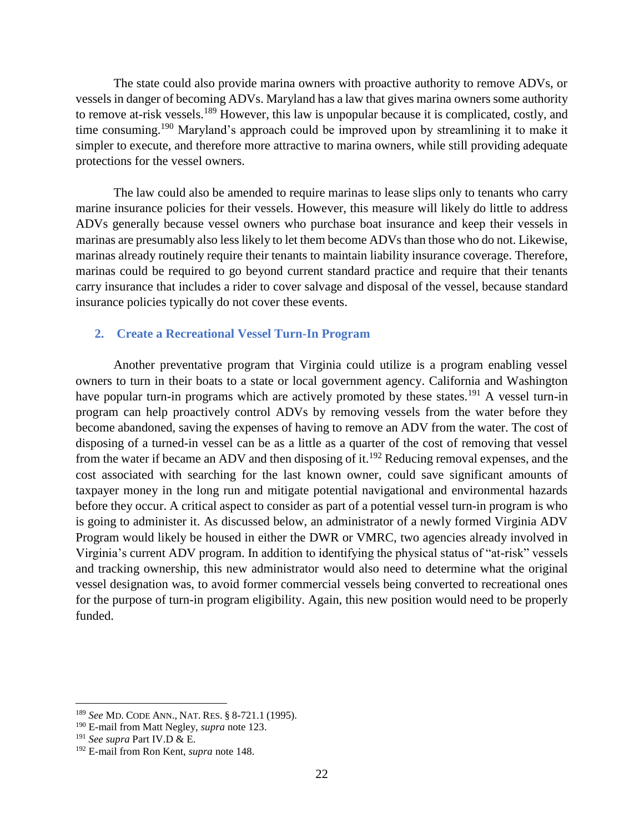The state could also provide marina owners with proactive authority to remove ADVs, or vessels in danger of becoming ADVs. Maryland has a law that gives marina owners some authority to remove at-risk vessels.<sup>189</sup> However, this law is unpopular because it is complicated, costly, and time consuming.<sup>190</sup> Maryland's approach could be improved upon by streamlining it to make it simpler to execute, and therefore more attractive to marina owners, while still providing adequate protections for the vessel owners.

The law could also be amended to require marinas to lease slips only to tenants who carry marine insurance policies for their vessels. However, this measure will likely do little to address ADVs generally because vessel owners who purchase boat insurance and keep their vessels in marinas are presumably also less likely to let them become ADVs than those who do not. Likewise, marinas already routinely require their tenants to maintain liability insurance coverage. Therefore, marinas could be required to go beyond current standard practice and require that their tenants carry insurance that includes a rider to cover salvage and disposal of the vessel, because standard insurance policies typically do not cover these events.

## **2. Create a Recreational Vessel Turn-In Program**

Another preventative program that Virginia could utilize is a program enabling vessel owners to turn in their boats to a state or local government agency. California and Washington have popular turn-in programs which are actively promoted by these states.<sup>191</sup> A vessel turn-in program can help proactively control ADVs by removing vessels from the water before they become abandoned, saving the expenses of having to remove an ADV from the water. The cost of disposing of a turned-in vessel can be as a little as a quarter of the cost of removing that vessel from the water if became an ADV and then disposing of it.<sup>192</sup> Reducing removal expenses, and the cost associated with searching for the last known owner, could save significant amounts of taxpayer money in the long run and mitigate potential navigational and environmental hazards before they occur. A critical aspect to consider as part of a potential vessel turn-in program is who is going to administer it. As discussed below, an administrator of a newly formed Virginia ADV Program would likely be housed in either the DWR or VMRC, two agencies already involved in Virginia's current ADV program. In addition to identifying the physical status of "at-risk" vessels and tracking ownership, this new administrator would also need to determine what the original vessel designation was, to avoid former commercial vessels being converted to recreational ones for the purpose of turn-in program eligibility. Again, this new position would need to be properly funded.

<sup>189</sup> *See* MD. CODE ANN., NAT. RES. § 8-721.1 (1995).

<sup>190</sup> E-mail from Matt Negley, *supra* note [123.](#page-13-0)

<sup>191</sup> *See supra* Part IV.D & E.

<sup>192</sup> E-mail from Ron Kent, *supra* not[e 148.](#page-15-0)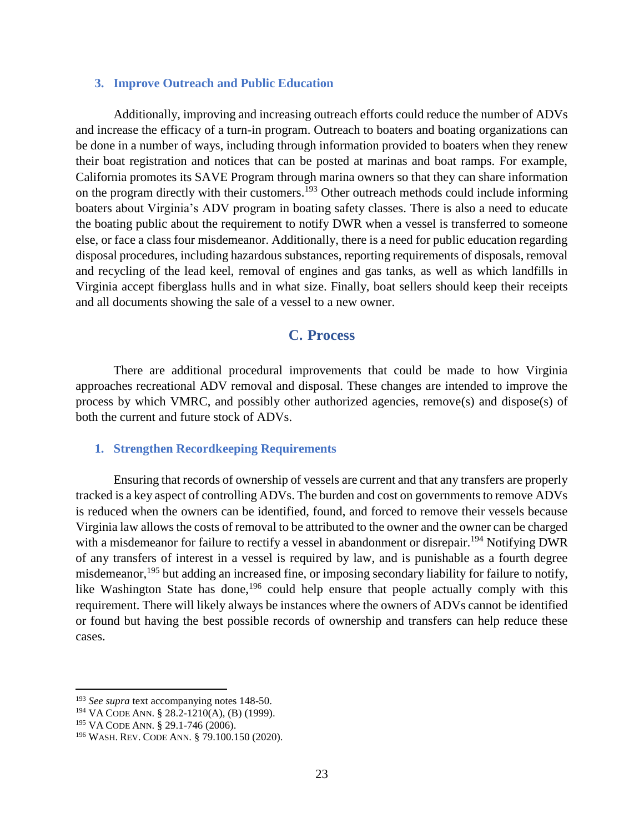#### **3. Improve Outreach and Public Education**

Additionally, improving and increasing outreach efforts could reduce the number of ADVs and increase the efficacy of a turn-in program. Outreach to boaters and boating organizations can be done in a number of ways, including through information provided to boaters when they renew their boat registration and notices that can be posted at marinas and boat ramps. For example, California promotes its SAVE Program through marina owners so that they can share information on the program directly with their customers.<sup>193</sup> Other outreach methods could include informing boaters about Virginia's ADV program in boating safety classes. There is also a need to educate the boating public about the requirement to notify DWR when a vessel is transferred to someone else, or face a class four misdemeanor. Additionally, there is a need for public education regarding disposal procedures, including hazardous substances, reporting requirements of disposals, removal and recycling of the lead keel, removal of engines and gas tanks, as well as which landfills in Virginia accept fiberglass hulls and in what size. Finally, boat sellers should keep their receipts and all documents showing the sale of a vessel to a new owner.

## **C. Process**

There are additional procedural improvements that could be made to how Virginia approaches recreational ADV removal and disposal. These changes are intended to improve the process by which VMRC, and possibly other authorized agencies, remove(s) and dispose(s) of both the current and future stock of ADVs.

#### **1. Strengthen Recordkeeping Requirements**

Ensuring that records of ownership of vessels are current and that any transfers are properly tracked is a key aspect of controlling ADVs. The burden and cost on governments to remove ADVs is reduced when the owners can be identified, found, and forced to remove their vessels because Virginia law allows the costs of removal to be attributed to the owner and the owner can be charged with a misdemeanor for failure to rectify a vessel in abandonment or disrepair.<sup>194</sup> Notifying DWR of any transfers of interest in a vessel is required by law, and is punishable as a fourth degree misdemeanor,<sup>195</sup> but adding an increased fine, or imposing secondary liability for failure to notify, like Washington State has done,<sup>196</sup> could help ensure that people actually comply with this requirement. There will likely always be instances where the owners of ADVs cannot be identified or found but having the best possible records of ownership and transfers can help reduce these cases.

<sup>193</sup> *See supra* text accompanying notes 148-50.

<sup>194</sup> VA CODE ANN. § 28.2-1210(A), (B) (1999).

<sup>195</sup> VA CODE ANN. § 29.1-746 (2006).

<sup>196</sup> WASH. REV. CODE ANN. § 79.100.150 (2020).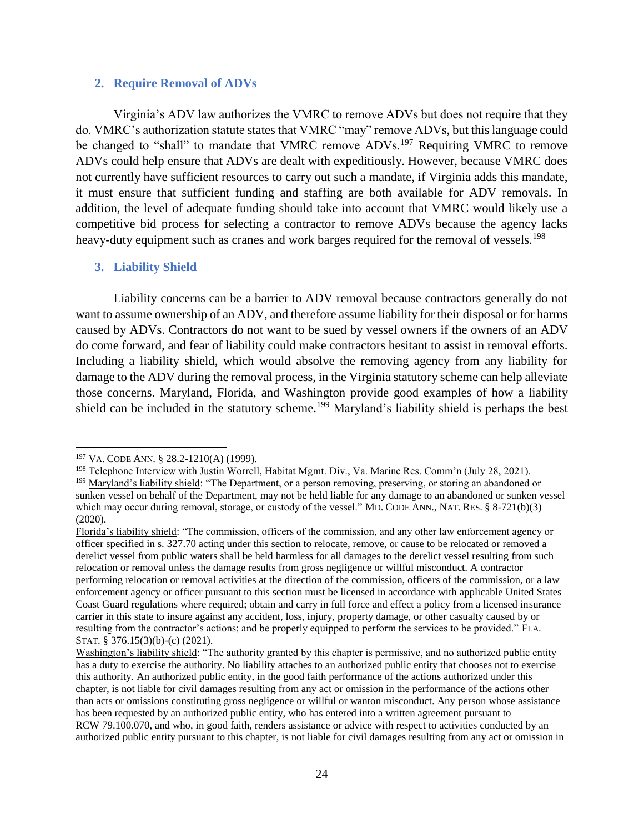#### **2. Require Removal of ADVs**

Virginia's ADV law authorizes the VMRC to remove ADVs but does not require that they do. VMRC's authorization statute states that VMRC "may" remove ADVs, but this language could be changed to "shall" to mandate that VMRC remove ADVs.<sup>197</sup> Requiring VMRC to remove ADVs could help ensure that ADVs are dealt with expeditiously. However, because VMRC does not currently have sufficient resources to carry out such a mandate, if Virginia adds this mandate, it must ensure that sufficient funding and staffing are both available for ADV removals. In addition, the level of adequate funding should take into account that VMRC would likely use a competitive bid process for selecting a contractor to remove ADVs because the agency lacks heavy-duty equipment such as cranes and work barges required for the removal of vessels.<sup>198</sup>

#### <span id="page-23-0"></span>**3. Liability Shield**

Liability concerns can be a barrier to ADV removal because contractors generally do not want to assume ownership of an ADV, and therefore assume liability for their disposal or for harms caused by ADVs. Contractors do not want to be sued by vessel owners if the owners of an ADV do come forward, and fear of liability could make contractors hesitant to assist in removal efforts. Including a liability shield, which would absolve the removing agency from any liability for damage to the ADV during the removal process, in the Virginia statutory scheme can help alleviate those concerns. Maryland, Florida, and Washington provide good examples of how a liability shield can be included in the statutory scheme.<sup>199</sup> Maryland's liability shield is perhaps the best

 $\overline{\phantom{a}}$ 

<sup>198</sup> Telephone Interview with Justin Worrell, Habitat Mgmt. Div., Va. Marine Res. Comm'n (July 28, 2021).

<sup>197</sup> VA. CODE ANN. § 28.2-1210(A) (1999).

<sup>&</sup>lt;sup>199</sup> Maryland's liability shield: "The Department, or a person removing, preserving, or storing an abandoned or sunken vessel on behalf of the Department, may not be held liable for any damage to an abandoned or sunken vessel which may occur during removal, storage, or custody of the vessel." MD. CODE ANN., NAT. RES. § 8-721(b)(3) (2020).

Florida's liability shield: "The commission, officers of the commission, and any other law enforcement agency or officer specified in s. 327.70 acting under this section to relocate, remove, or cause to be relocated or removed a derelict vessel from public waters shall be held harmless for all damages to the derelict vessel resulting from such relocation or removal unless the damage results from gross negligence or willful misconduct. A contractor performing relocation or removal activities at the direction of the commission, officers of the commission, or a law enforcement agency or officer pursuant to this section must be licensed in accordance with applicable United States Coast Guard regulations where required; obtain and carry in full force and effect a policy from a licensed insurance carrier in this state to insure against any accident, loss, injury, property damage, or other casualty caused by or resulting from the contractor's actions; and be properly equipped to perform the services to be provided." FLA. STAT. § 376.15(3)(b)-(c) (2021).

Washington's liability shield: "The authority granted by this chapter is permissive, and no authorized public entity has a duty to exercise the authority. No liability attaches to an authorized public entity that chooses not to exercise this authority. An authorized public entity, in the good faith performance of the actions authorized under this chapter, is not liable for civil damages resulting from any act or omission in the performance of the actions other than acts or omissions constituting gross negligence or willful or wanton misconduct. Any person whose assistance has been requested by an authorized public entity, who has entered into a written agreement pursuant to RCW 79.100.070, and who, in good faith, renders assistance or advice with respect to activities conducted by an authorized public entity pursuant to this chapter, is not liable for civil damages resulting from any act or omission in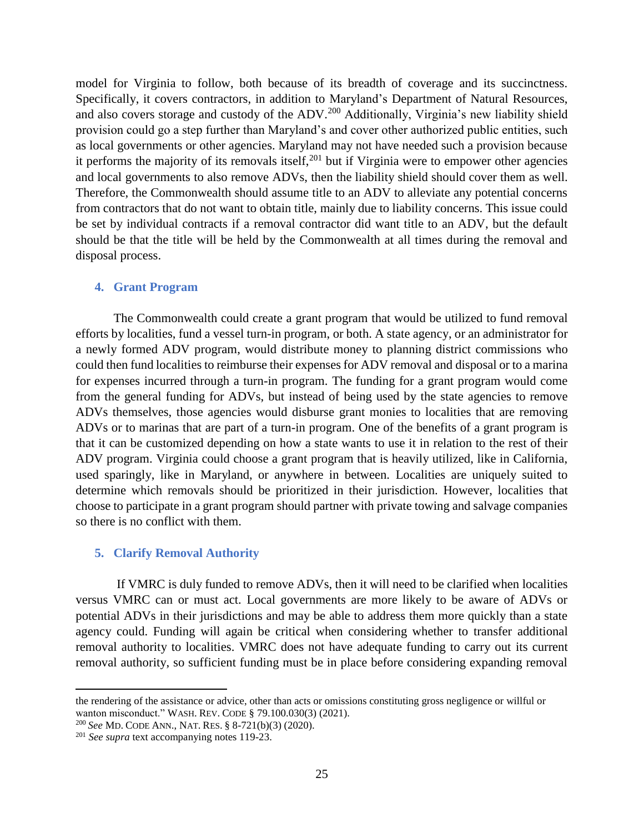model for Virginia to follow, both because of its breadth of coverage and its succinctness. Specifically, it covers contractors, in addition to Maryland's Department of Natural Resources, and also covers storage and custody of the ADV.<sup>200</sup> Additionally, Virginia's new liability shield provision could go a step further than Maryland's and cover other authorized public entities, such as local governments or other agencies. Maryland may not have needed such a provision because it performs the majority of its removals itself,  $201$  but if Virginia were to empower other agencies and local governments to also remove ADVs, then the liability shield should cover them as well. Therefore, the Commonwealth should assume title to an ADV to alleviate any potential concerns from contractors that do not want to obtain title, mainly due to liability concerns. This issue could be set by individual contracts if a removal contractor did want title to an ADV, but the default should be that the title will be held by the Commonwealth at all times during the removal and disposal process.

#### **4. Grant Program**

The Commonwealth could create a grant program that would be utilized to fund removal efforts by localities, fund a vessel turn-in program, or both. A state agency, or an administrator for a newly formed ADV program, would distribute money to planning district commissions who could then fund localities to reimburse their expenses for ADV removal and disposal or to a marina for expenses incurred through a turn-in program. The funding for a grant program would come from the general funding for ADVs, but instead of being used by the state agencies to remove ADVs themselves, those agencies would disburse grant monies to localities that are removing ADVs or to marinas that are part of a turn-in program. One of the benefits of a grant program is that it can be customized depending on how a state wants to use it in relation to the rest of their ADV program. Virginia could choose a grant program that is heavily utilized, like in California, used sparingly, like in Maryland, or anywhere in between. Localities are uniquely suited to determine which removals should be prioritized in their jurisdiction. However, localities that choose to participate in a grant program should partner with private towing and salvage companies so there is no conflict with them.

#### **5. Clarify Removal Authority**

If VMRC is duly funded to remove ADVs, then it will need to be clarified when localities versus VMRC can or must act. Local governments are more likely to be aware of ADVs or potential ADVs in their jurisdictions and may be able to address them more quickly than a state agency could. Funding will again be critical when considering whether to transfer additional removal authority to localities. VMRC does not have adequate funding to carry out its current removal authority, so sufficient funding must be in place before considering expanding removal

the rendering of the assistance or advice, other than acts or omissions constituting gross negligence or willful or wanton misconduct." WASH. REV. CODE § 79.100.030(3) (2021).

<sup>200</sup> *See* MD. CODE ANN., NAT. RES. § 8-721(b)(3) (2020).

<sup>201</sup> *See supra* text accompanying notes 119-23.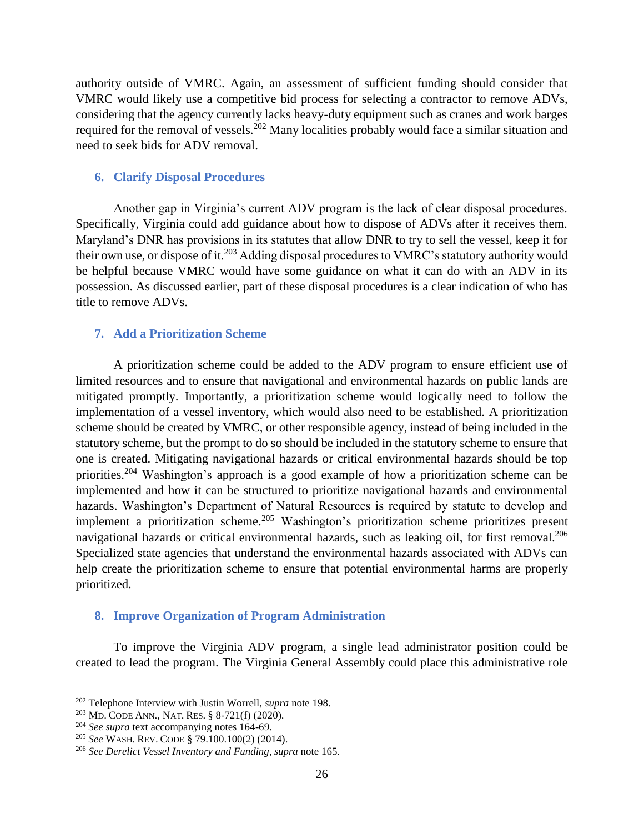authority outside of VMRC. Again, an assessment of sufficient funding should consider that VMRC would likely use a competitive bid process for selecting a contractor to remove ADVs, considering that the agency currently lacks heavy-duty equipment such as cranes and work barges required for the removal of vessels.<sup>202</sup> Many localities probably would face a similar situation and need to seek bids for ADV removal.

## **6. Clarify Disposal Procedures**

Another gap in Virginia's current ADV program is the lack of clear disposal procedures. Specifically, Virginia could add guidance about how to dispose of ADVs after it receives them. Maryland's DNR has provisions in its statutes that allow DNR to try to sell the vessel, keep it for their own use, or dispose of it.<sup>203</sup> Adding disposal procedures to VMRC's statutory authority would be helpful because VMRC would have some guidance on what it can do with an ADV in its possession. As discussed earlier, part of these disposal procedures is a clear indication of who has title to remove ADVs.

## **7. Add a Prioritization Scheme**

A prioritization scheme could be added to the ADV program to ensure efficient use of limited resources and to ensure that navigational and environmental hazards on public lands are mitigated promptly. Importantly, a prioritization scheme would logically need to follow the implementation of a vessel inventory, which would also need to be established. A prioritization scheme should be created by VMRC, or other responsible agency, instead of being included in the statutory scheme, but the prompt to do so should be included in the statutory scheme to ensure that one is created. Mitigating navigational hazards or critical environmental hazards should be top priorities.<sup>204</sup> Washington's approach is a good example of how a prioritization scheme can be implemented and how it can be structured to prioritize navigational hazards and environmental hazards. Washington's Department of Natural Resources is required by statute to develop and implement a prioritization scheme.<sup>205</sup> Washington's prioritization scheme prioritizes present navigational hazards or critical environmental hazards, such as leaking oil, for first removal.<sup>206</sup> Specialized state agencies that understand the environmental hazards associated with ADVs can help create the prioritization scheme to ensure that potential environmental harms are properly prioritized.

## **8. Improve Organization of Program Administration**

To improve the Virginia ADV program, a single lead administrator position could be created to lead the program. The Virginia General Assembly could place this administrative role

l

<sup>202</sup> Telephone Interview with Justin Worrell, *supra* note [198.](#page-23-0)

<sup>203</sup> MD. CODE ANN., NAT. RES. § 8-721(f) (2020).

<sup>204</sup> *See supra* text accompanying notes 164-69.

<sup>205</sup> *See* WASH. REV. CODE § 79.100.100(2) (2014).

<sup>206</sup> *See Derelict Vessel Inventory and Funding*, *supra* not[e 165.](#page-17-0)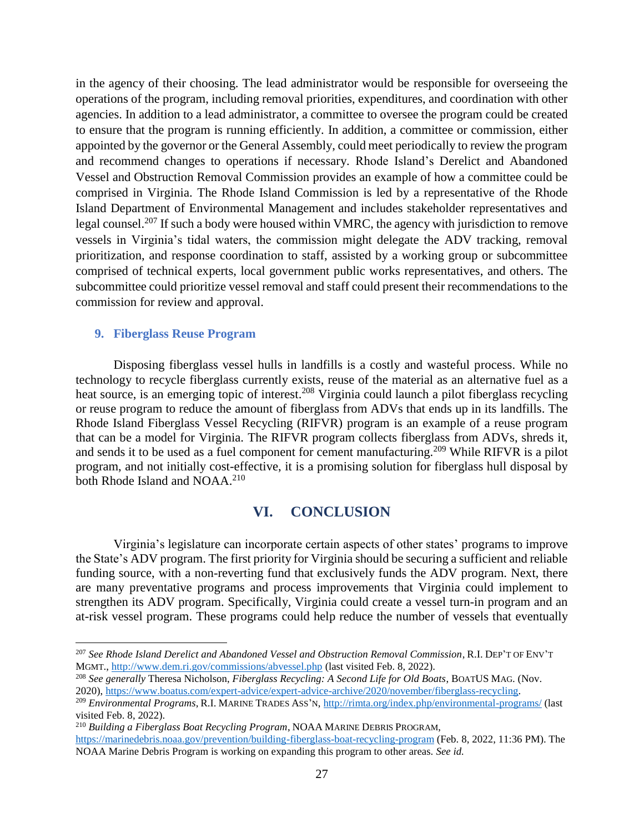in the agency of their choosing. The lead administrator would be responsible for overseeing the operations of the program, including removal priorities, expenditures, and coordination with other agencies. In addition to a lead administrator, a committee to oversee the program could be created to ensure that the program is running efficiently. In addition, a committee or commission, either appointed by the governor or the General Assembly, could meet periodically to review the program and recommend changes to operations if necessary. Rhode Island's Derelict and Abandoned Vessel and Obstruction Removal Commission provides an example of how a committee could be comprised in Virginia. The Rhode Island Commission is led by a representative of the Rhode Island Department of Environmental Management and includes stakeholder representatives and legal counsel.<sup>207</sup> If such a body were housed within VMRC, the agency with jurisdiction to remove vessels in Virginia's tidal waters, the commission might delegate the ADV tracking, removal prioritization, and response coordination to staff, assisted by a working group or subcommittee comprised of technical experts, local government public works representatives, and others. The subcommittee could prioritize vessel removal and staff could present their recommendations to the commission for review and approval.

#### **9. Fiberglass Reuse Program**

 $\overline{\phantom{a}}$ 

Disposing fiberglass vessel hulls in landfills is a costly and wasteful process. While no technology to recycle fiberglass currently exists, reuse of the material as an alternative fuel as a heat source, is an emerging topic of interest.<sup>208</sup> Virginia could launch a pilot fiberglass recycling or reuse program to reduce the amount of fiberglass from ADVs that ends up in its landfills. The Rhode Island Fiberglass Vessel Recycling (RIFVR) program is an example of a reuse program that can be a model for Virginia. The RIFVR program collects fiberglass from ADVs, shreds it, and sends it to be used as a fuel component for cement manufacturing.<sup>209</sup> While RIFVR is a pilot program, and not initially cost-effective, it is a promising solution for fiberglass hull disposal by both Rhode Island and NOAA.<sup>210</sup>

## **VI. CONCLUSION**

Virginia's legislature can incorporate certain aspects of other states' programs to improve the State's ADV program. The first priority for Virginia should be securing a sufficient and reliable funding source, with a non-reverting fund that exclusively funds the ADV program. Next, there are many preventative programs and process improvements that Virginia could implement to strengthen its ADV program. Specifically, Virginia could create a vessel turn-in program and an at-risk vessel program. These programs could help reduce the number of vessels that eventually

<sup>207</sup> *See Rhode Island Derelict and Abandoned Vessel and Obstruction Removal Commission*, R.I. DEP'T OF ENV'T MGMT.,<http://www.dem.ri.gov/commissions/abvessel.php> (last visited Feb. 8, 2022).

<sup>208</sup> *See generally* Theresa Nicholson, *Fiberglass Recycling: A Second Life for Old Boats*, BOATUS MAG. (Nov. 2020), [https://www.boatus.com/expert-advice/expert-advice-archive/2020/november/fiberglass-recycling.](https://www.boatus.com/expert-advice/expert-advice-archive/2020/november/fiberglass-recycling)

<sup>209</sup> *Environmental Programs*, R.I. MARINE TRADES ASS'N,<http://rimta.org/index.php/environmental-programs/> (last visited Feb. 8, 2022).

<sup>210</sup> *Building a Fiberglass Boat Recycling Program*, NOAA MARINE DEBRIS PROGRAM, <https://marinedebris.noaa.gov/prevention/building-fiberglass-boat-recycling-program> (Feb. 8, 2022, 11:36 PM). The NOAA Marine Debris Program is working on expanding this program to other areas. *See id.*